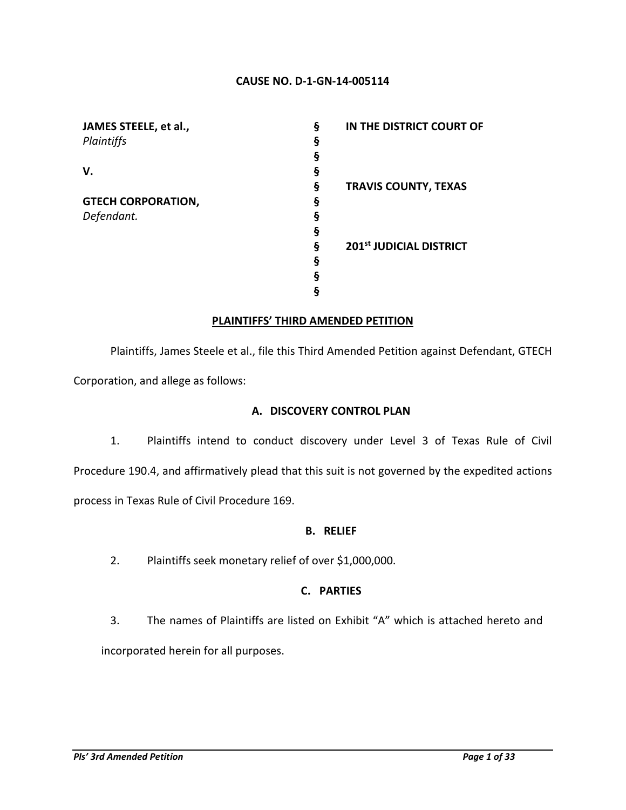#### **CAUSE NO. D-1-GN-14-005114**

| JAMES STEELE, et al.,     | ş | IN THE DISTRICT COURT OF    |
|---------------------------|---|-----------------------------|
| Plaintiffs                | ş |                             |
|                           |   |                             |
| V.                        | g |                             |
|                           | ş | <b>TRAVIS COUNTY, TEXAS</b> |
| <b>GTECH CORPORATION,</b> | ş |                             |
| Defendant.                |   |                             |
|                           | ğ |                             |
|                           | ş | 201st JUDICIAL DISTRICT     |
|                           | ş |                             |
|                           | δ |                             |
|                           |   |                             |

#### **PLAINTIFFS' THIRD AMENDED PETITION**

Plaintiffs, James Steele et al., file this Third Amended Petition against Defendant, GTECH Corporation, and allege as follows:

#### **A. DISCOVERY CONTROL PLAN**

1. Plaintiffs intend to conduct discovery under Level 3 of Texas Rule of Civil Procedure 190.4, and affirmatively plead that this suit is not governed by the expedited actions process in Texas Rule of Civil Procedure 169.

### **B. RELIEF**

2. Plaintiffs seek monetary relief of over \$1,000,000.

### **C. PARTIES**

3. The names of Plaintiffs are listed on Exhibit "A" which is attached hereto and incorporated herein for all purposes.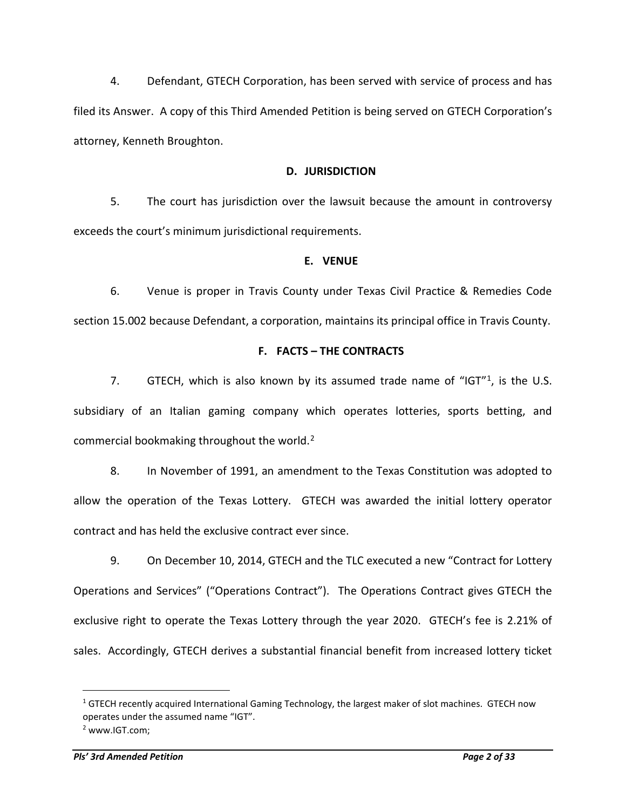4. Defendant, GTECH Corporation, has been served with service of process and has filed its Answer. A copy of this Third Amended Petition is being served on GTECH Corporation's attorney, Kenneth Broughton.

#### **D. JURISDICTION**

5. The court has jurisdiction over the lawsuit because the amount in controversy exceeds the court's minimum jurisdictional requirements.

#### **E. VENUE**

6. Venue is proper in Travis County under Texas Civil Practice & Remedies Code section 15.002 because Defendant, a corporation, maintains its principal office in Travis County.

#### **F. FACTS – THE CONTRACTS**

7. GTECH, which is also known by its assumed trade name of "IGT"<sup>1</sup>, is the U.S. subsidiary of an Italian gaming company which operates lotteries, sports betting, and commercial bookmaking throughout the world.<sup>[2](#page-1-1)</sup>

8. In November of 1991, an amendment to the Texas Constitution was adopted to allow the operation of the Texas Lottery. GTECH was awarded the initial lottery operator contract and has held the exclusive contract ever since.

9. On December 10, 2014, GTECH and the TLC executed a new "Contract for Lottery Operations and Services" ("Operations Contract"). The Operations Contract gives GTECH the exclusive right to operate the Texas Lottery through the year 2020. GTECH's fee is 2.21% of sales. Accordingly, GTECH derives a substantial financial benefit from increased lottery ticket

<span id="page-1-0"></span><sup>&</sup>lt;sup>1</sup> GTECH recently acquired International Gaming Technology, the largest maker of slot machines. GTECH now operates under the assumed name "IGT".

<span id="page-1-1"></span><sup>2</sup> www.IGT.com;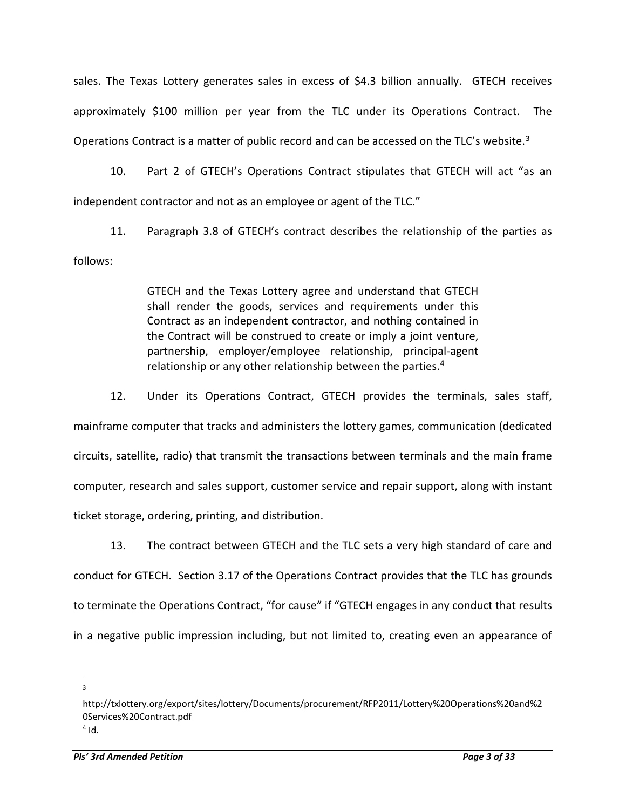sales. The Texas Lottery generates sales in excess of \$4.3 billion annually. GTECH receives approximately \$100 million per year from the TLC under its Operations Contract. The Operations Contract is a matter of public record and can be accessed on the TLC's website.<sup>[3](#page-2-0)</sup>

10. Part 2 of GTECH's Operations Contract stipulates that GTECH will act "as an independent contractor and not as an employee or agent of the TLC."

11. Paragraph 3.8 of GTECH's contract describes the relationship of the parties as follows:

> GTECH and the Texas Lottery agree and understand that GTECH shall render the goods, services and requirements under this Contract as an independent contractor, and nothing contained in the Contract will be construed to create or imply a joint venture, partnership, employer/employee relationship, principal-agent relationship or any other relationship between the parties.<sup>[4](#page-2-1)</sup>

12. Under its Operations Contract, GTECH provides the terminals, sales staff, mainframe computer that tracks and administers the lottery games, communication (dedicated circuits, satellite, radio) that transmit the transactions between terminals and the main frame computer, research and sales support, customer service and repair support, along with instant ticket storage, ordering, printing, and distribution.

13. The contract between GTECH and the TLC sets a very high standard of care and conduct for GTECH. Section 3.17 of the Operations Contract provides that the TLC has grounds to terminate the Operations Contract, "for cause" if "GTECH engages in any conduct that results in a negative public impression including, but not limited to, creating even an appearance of

<span id="page-2-1"></span><span id="page-2-0"></span>http://txlottery.org/export/sites/lottery/Documents/procurement/RFP2011/Lottery%20Operations%20and%2 0Services%20Contract.pdf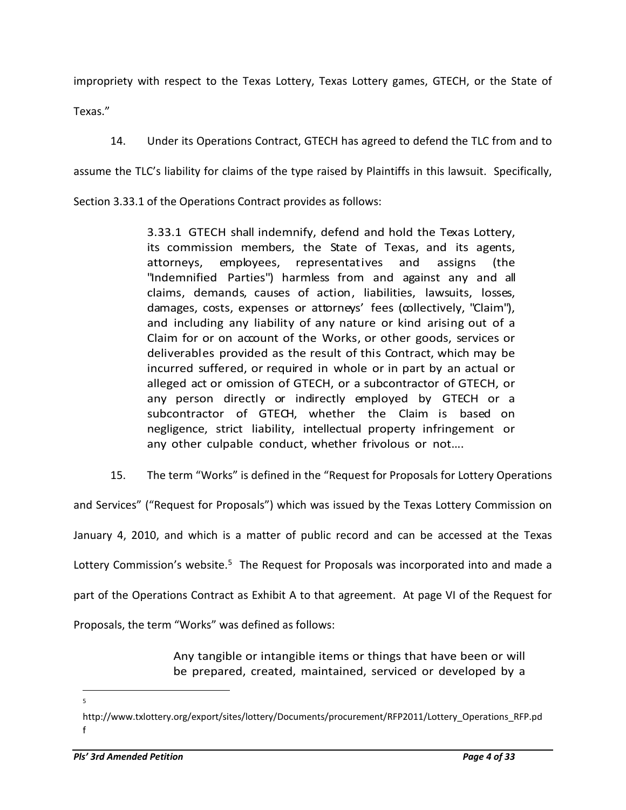impropriety with respect to the Texas Lottery, Texas Lottery games, GTECH, or the State of

Texas."

14. Under its Operations Contract, GTECH has agreed to defend the TLC from and to

assume the TLC's liability for claims of the type raised by Plaintiffs in this lawsuit. Specifically,

Section 3.33.1 of the Operations Contract provides as follows:

3.33.1 GTECH shall indemnify, defend and hold the Texas Lottery, its commission members, the State of Texas, and its agents, attorneys, employees, representatives and assigns (the "Indemnified Parties") harmless from and against any and all claims, demands, causes of action, liabilities, lawsuits, losses, damages, costs, expenses or attorneys' fees (collectively, "Claim"), and including any liability of any nature or kind arising out of a Claim for or on account of the Works, or other goods, services or deliverables provided as the result of this Contract, which may be incurred suffered, or required in whole or in part by an actual or alleged act or omission of GTECH, or a subcontractor of GTECH, or any person directly or indirectly employed by GTECH or a subcontractor of GTECH, whether the Claim is based on negligence, strict liability, intellectual property infringement or any other culpable conduct, whether frivolous or not….

15. The term "Works" is defined in the "Request for Proposals for Lottery Operations

and Services" ("Request for Proposals") which was issued by the Texas Lottery Commission on January 4, 2010, and which is a matter of public record and can be accessed at the Texas Lottery Commission's website.<sup>[5](#page-3-0)</sup> The Request for Proposals was incorporated into and made a part of the Operations Contract as Exhibit A to that agreement. At page VI of the Request for Proposals, the term "Works" was defined as follows:

> Any tangible or intangible items or things that have been or will be prepared, created, maintained, serviced or developed by a

<span id="page-3-0"></span>http://www.txlottery.org/export/sites/lottery/Documents/procurement/RFP2011/Lottery\_Operations\_RFP.pd f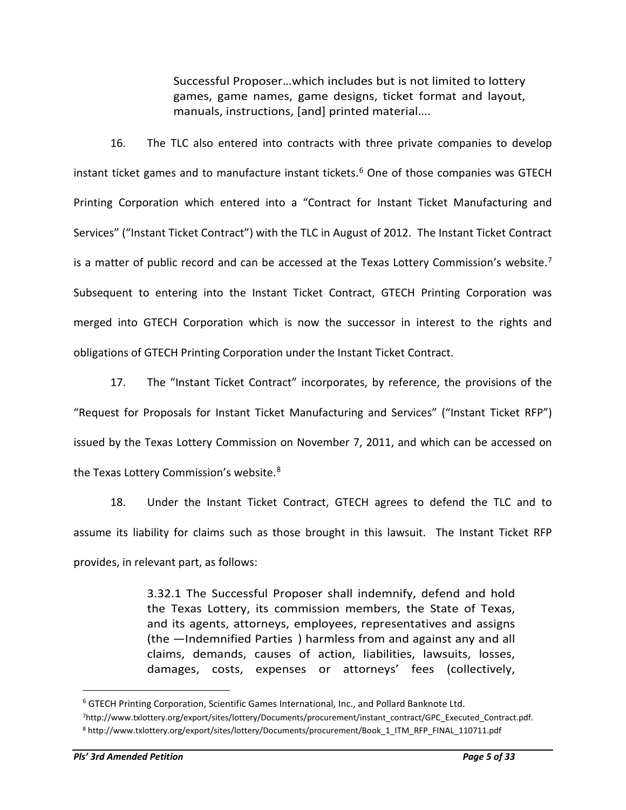Successful Proposer…which includes but is not limited to lottery games, game names, game designs, ticket format and layout, manuals, instructions, [and] printed material….

16. The TLC also entered into contracts with three private companies to develop instant ticket games and to manufacture instant tickets.<sup>6</sup> One of those companies was GTECH Printing Corporation which entered into a "Contract for Instant Ticket Manufacturing and Services" ("Instant Ticket Contract") with the TLC in August of 2012. The Instant Ticket Contract is a matter of public record and can be accessed at the Texas Lottery Commission's website.<sup>[7](#page-4-1)</sup> Subsequent to entering into the Instant Ticket Contract, GTECH Printing Corporation was merged into GTECH Corporation which is now the successor in interest to the rights and obligations of GTECH Printing Corporation under the Instant Ticket Contract.

17. The "Instant Ticket Contract" incorporates, by reference, the provisions of the "Request for Proposals for Instant Ticket Manufacturing and Services" ("Instant Ticket RFP") issued by the Texas Lottery Commission on November 7, 2011, and which can be accessed on the Texas Lottery Commission's website.<sup>8</sup>

18. Under the Instant Ticket Contract, GTECH agrees to defend the TLC and to assume its liability for claims such as those brought in this lawsuit. The Instant Ticket RFP provides, in relevant part, as follows:

> 3.32.1 The Successful Proposer shall indemnify, defend and hold the Texas Lottery, its commission members, the State of Texas, and its agents, attorneys, employees, representatives and assigns (the ―Indemnified Parties‖) harmless from and against any and all claims, demands, causes of action, liabilities, lawsuits, losses, damages, costs, expenses or attorneys' fees (collectively,

<span id="page-4-0"></span><sup>6</sup> GTECH Printing Corporation, Scientific Games International, Inc., and Pollard Banknote Ltd.

<span id="page-4-2"></span><span id="page-4-1"></span><sup>7</sup>http://www.txlottery.org/export/sites/lottery/Documents/procurement/instant\_contract/GPC\_Executed\_Contract.pdf. <sup>8</sup> http://www.txlottery.org/export/sites/lottery/Documents/procurement/Book\_1\_ITM\_RFP\_FINAL\_110711.pdf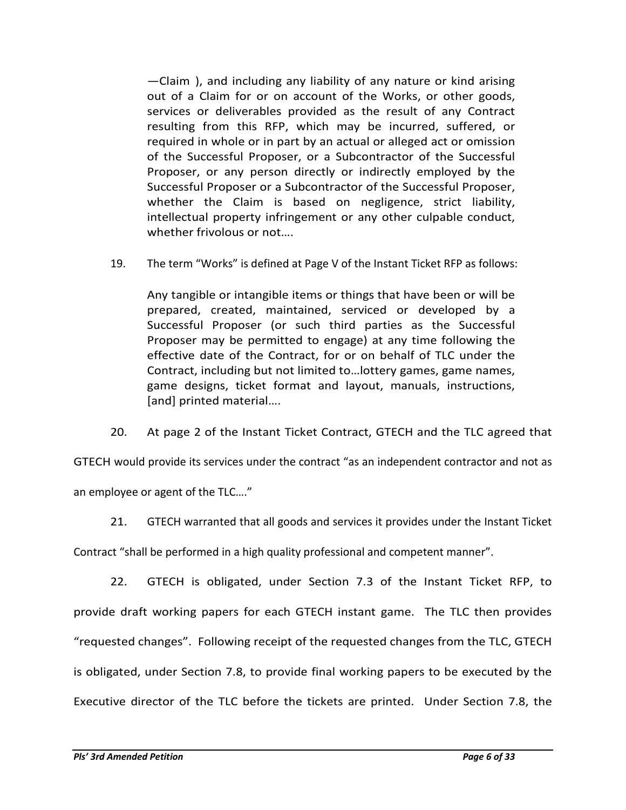$-$ Claim), and including any liability of any nature or kind arising out of a Claim for or on account of the Works, or other goods, services or deliverables provided as the result of any Contract resulting from this RFP, which may be incurred, suffered, or required in whole or in part by an actual or alleged act or omission of the Successful Proposer, or a Subcontractor of the Successful Proposer, or any person directly or indirectly employed by the Successful Proposer or a Subcontractor of the Successful Proposer, whether the Claim is based on negligence, strict liability, intellectual property infringement or any other culpable conduct, whether frivolous or not….

19. The term "Works" is defined at Page V of the Instant Ticket RFP as follows:

Any tangible or intangible items or things that have been or will be prepared, created, maintained, serviced or developed by a Successful Proposer (or such third parties as the Successful Proposer may be permitted to engage) at any time following the effective date of the Contract, for or on behalf of TLC under the Contract, including but not limited to…lottery games, game names, game designs, ticket format and layout, manuals, instructions, [and] printed material….

20. At page 2 of the Instant Ticket Contract, GTECH and the TLC agreed that

GTECH would provide its services under the contract "as an independent contractor and not as an employee or agent of the TLC…."

21. GTECH warranted that all goods and services it provides under the Instant Ticket

Contract "shall be performed in a high quality professional and competent manner".

22. GTECH is obligated, under Section 7.3 of the Instant Ticket RFP, to provide draft working papers for each GTECH instant game. The TLC then provides "requested changes". Following receipt of the requested changes from the TLC, GTECH is obligated, under Section 7.8, to provide final working papers to be executed by the Executive director of the TLC before the tickets are printed. Under Section 7.8, the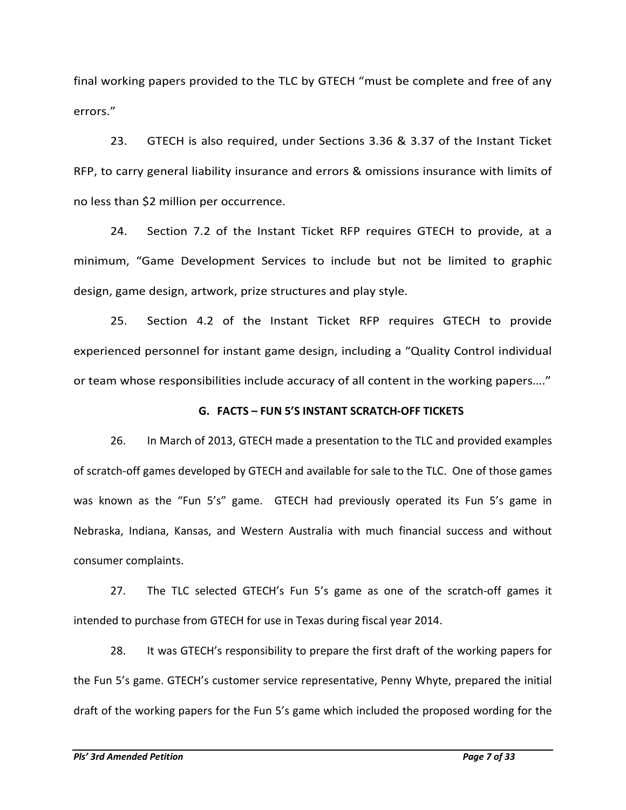final working papers provided to the TLC by GTECH "must be complete and free of any errors."

23. GTECH is also required, under Sections 3.36 & 3.37 of the Instant Ticket RFP, to carry general liability insurance and errors & omissions insurance with limits of no less than \$2 million per occurrence.

24. Section 7.2 of the Instant Ticket RFP requires GTECH to provide, at a minimum, "Game Development Services to include but not be limited to graphic design, game design, artwork, prize structures and play style.

25. Section 4.2 of the Instant Ticket RFP requires GTECH to provide experienced personnel for instant game design, including a "Quality Control individual or team whose responsibilities include accuracy of all content in the working papers…."

### **G. FACTS – FUN 5'S INSTANT SCRATCH-OFF TICKETS**

26. In March of 2013, GTECH made a presentation to the TLC and provided examples of scratch-off games developed by GTECH and available for sale to the TLC. One of those games was known as the "Fun 5's" game. GTECH had previously operated its Fun 5's game in Nebraska, Indiana, Kansas, and Western Australia with much financial success and without consumer complaints.

27. The TLC selected GTECH's Fun 5's game as one of the scratch-off games it intended to purchase from GTECH for use in Texas during fiscal year 2014.

28. It was GTECH's responsibility to prepare the first draft of the working papers for the Fun 5's game. GTECH's customer service representative, Penny Whyte, prepared the initial draft of the working papers for the Fun 5's game which included the proposed wording for the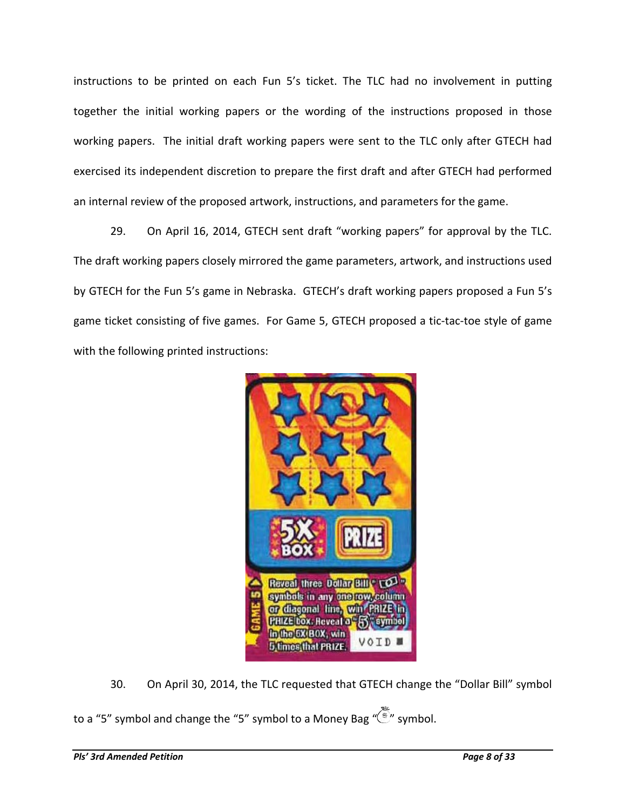instructions to be printed on each Fun 5's ticket. The TLC had no involvement in putting together the initial working papers or the wording of the instructions proposed in those working papers. The initial draft working papers were sent to the TLC only after GTECH had exercised its independent discretion to prepare the first draft and after GTECH had performed an internal review of the proposed artwork, instructions, and parameters for the game.

29. On April 16, 2014, GTECH sent draft "working papers" for approval by the TLC. The draft working papers closely mirrored the game parameters, artwork, and instructions used by GTECH for the Fun 5's game in Nebraska. GTECH's draft working papers proposed a Fun 5's game ticket consisting of five games. For Game 5, GTECH proposed a tic-tac-toe style of game with the following printed instructions:



30. On April 30, 2014, the TLC requested that GTECH change the "Dollar Bill" symbol

to a "5" symbol and change the "5" symbol to a Money Bag "(symbol.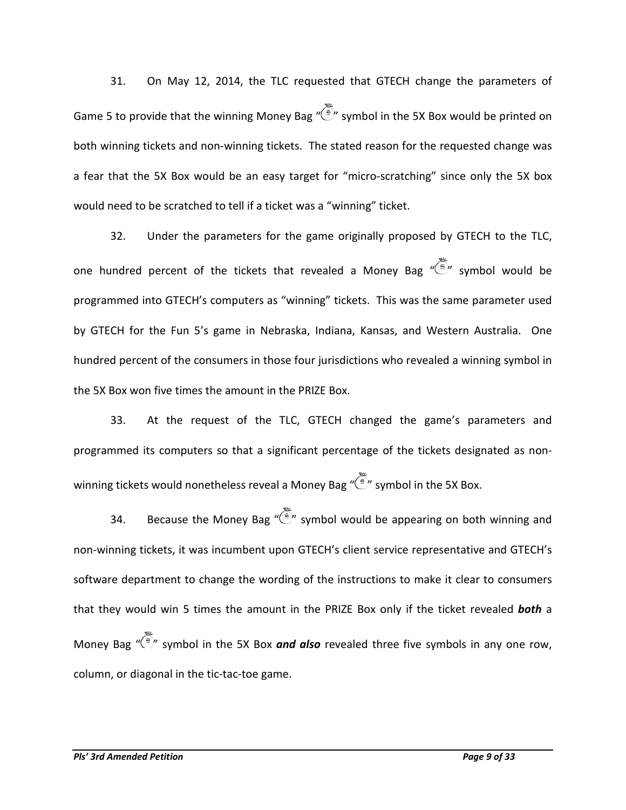31. On May 12, 2014, the TLC requested that GTECH change the parameters of Game 5 to provide that the winning Money Bag " " symbol in the 5X Box would be printed on both winning tickets and non-winning tickets. The stated reason for the requested change was a fear that the 5X Box would be an easy target for "micro-scratching" since only the 5X box would need to be scratched to tell if a ticket was a "winning" ticket.

32. Under the parameters for the game originally proposed by GTECH to the TLC, one hundred percent of the tickets that revealed a Money Bag  $\widetilde{\mathcal{C}}$  symbol would be programmed into GTECH's computers as "winning" tickets. This was the same parameter used by GTECH for the Fun 5's game in Nebraska, Indiana, Kansas, and Western Australia. One hundred percent of the consumers in those four jurisdictions who revealed a winning symbol in the 5X Box won five times the amount in the PRIZE Box.

33. At the request of the TLC, GTECH changed the game's parameters and programmed its computers so that a significant percentage of the tickets designated as nonwinning tickets would nonetheless reveal a Money Bag  $\widetilde{\mathbb{Z}}$  symbol in the 5X Box.

34. Because the Money Bag " $\ddot{\odot}$ " symbol would be appearing on both winning and non-winning tickets, it was incumbent upon GTECH's client service representative and GTECH's software department to change the wording of the instructions to make it clear to consumers that they would win 5 times the amount in the PRIZE Box only if the ticket revealed *both* a Money Bag "<sup>(3)</sup>" symbol in the 5X Box **and also** revealed three five symbols in any one row, column, or diagonal in the tic-tac-toe game.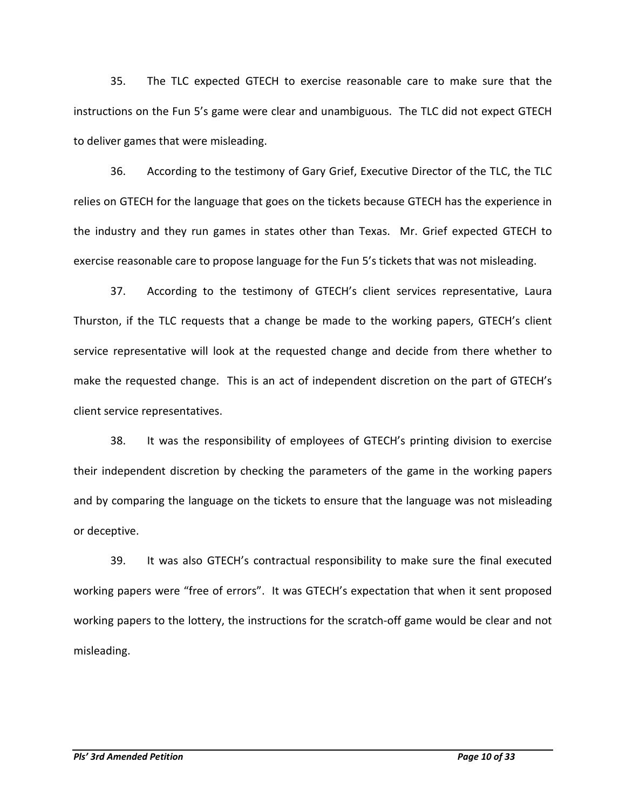35. The TLC expected GTECH to exercise reasonable care to make sure that the instructions on the Fun 5's game were clear and unambiguous. The TLC did not expect GTECH to deliver games that were misleading.

36. According to the testimony of Gary Grief, Executive Director of the TLC, the TLC relies on GTECH for the language that goes on the tickets because GTECH has the experience in the industry and they run games in states other than Texas. Mr. Grief expected GTECH to exercise reasonable care to propose language for the Fun 5's tickets that was not misleading.

37. According to the testimony of GTECH's client services representative, Laura Thurston, if the TLC requests that a change be made to the working papers, GTECH's client service representative will look at the requested change and decide from there whether to make the requested change. This is an act of independent discretion on the part of GTECH's client service representatives.

38. It was the responsibility of employees of GTECH's printing division to exercise their independent discretion by checking the parameters of the game in the working papers and by comparing the language on the tickets to ensure that the language was not misleading or deceptive.

39. It was also GTECH's contractual responsibility to make sure the final executed working papers were "free of errors". It was GTECH's expectation that when it sent proposed working papers to the lottery, the instructions for the scratch-off game would be clear and not misleading.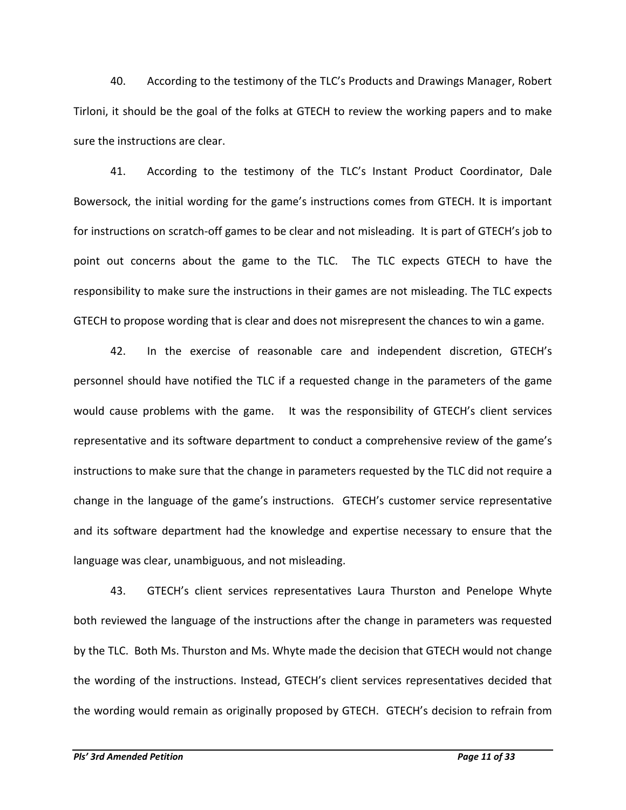40. According to the testimony of the TLC's Products and Drawings Manager, Robert Tirloni, it should be the goal of the folks at GTECH to review the working papers and to make sure the instructions are clear.

41. According to the testimony of the TLC's Instant Product Coordinator, Dale Bowersock, the initial wording for the game's instructions comes from GTECH. It is important for instructions on scratch-off games to be clear and not misleading. It is part of GTECH's job to point out concerns about the game to the TLC. The TLC expects GTECH to have the responsibility to make sure the instructions in their games are not misleading. The TLC expects GTECH to propose wording that is clear and does not misrepresent the chances to win a game.

42. In the exercise of reasonable care and independent discretion, GTECH's personnel should have notified the TLC if a requested change in the parameters of the game would cause problems with the game. It was the responsibility of GTECH's client services representative and its software department to conduct a comprehensive review of the game's instructions to make sure that the change in parameters requested by the TLC did not require a change in the language of the game's instructions. GTECH's customer service representative and its software department had the knowledge and expertise necessary to ensure that the language was clear, unambiguous, and not misleading.

43. GTECH's client services representatives Laura Thurston and Penelope Whyte both reviewed the language of the instructions after the change in parameters was requested by the TLC. Both Ms. Thurston and Ms. Whyte made the decision that GTECH would not change the wording of the instructions. Instead, GTECH's client services representatives decided that the wording would remain as originally proposed by GTECH. GTECH's decision to refrain from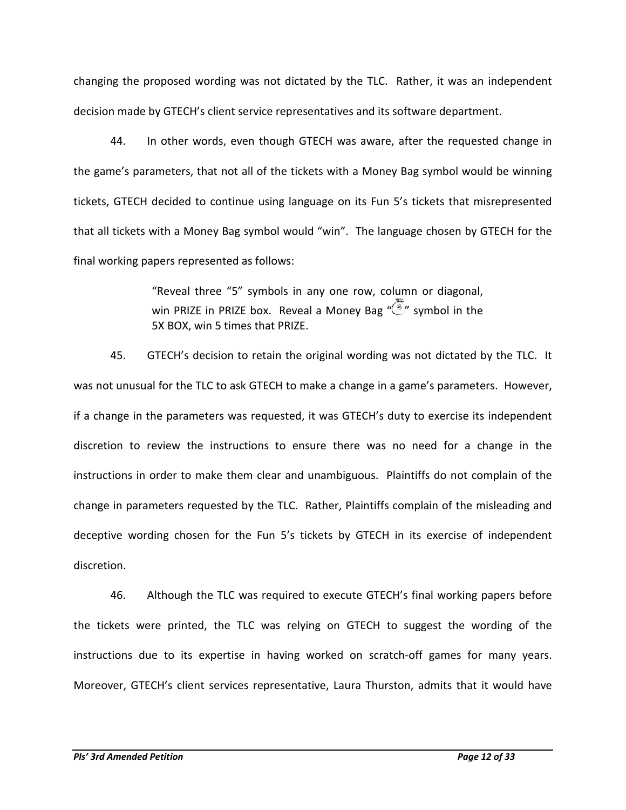changing the proposed wording was not dictated by the TLC. Rather, it was an independent decision made by GTECH's client service representatives and its software department.

44. In other words, even though GTECH was aware, after the requested change in the game's parameters, that not all of the tickets with a Money Bag symbol would be winning tickets, GTECH decided to continue using language on its Fun 5's tickets that misrepresented that all tickets with a Money Bag symbol would "win". The language chosen by GTECH for the final working papers represented as follows:

> "Reveal three "5" symbols in any one row, column or diagonal, win PRIZE in PRIZE box. Reveal a Money Bag " $\left(\frac{5}{2}\right)$ " symbol in the 5X BOX, win 5 times that PRIZE.

45. GTECH's decision to retain the original wording was not dictated by the TLC. It was not unusual for the TLC to ask GTECH to make a change in a game's parameters. However, if a change in the parameters was requested, it was GTECH's duty to exercise its independent discretion to review the instructions to ensure there was no need for a change in the instructions in order to make them clear and unambiguous. Plaintiffs do not complain of the change in parameters requested by the TLC. Rather, Plaintiffs complain of the misleading and deceptive wording chosen for the Fun 5's tickets by GTECH in its exercise of independent discretion.

46. Although the TLC was required to execute GTECH's final working papers before the tickets were printed, the TLC was relying on GTECH to suggest the wording of the instructions due to its expertise in having worked on scratch-off games for many years. Moreover, GTECH's client services representative, Laura Thurston, admits that it would have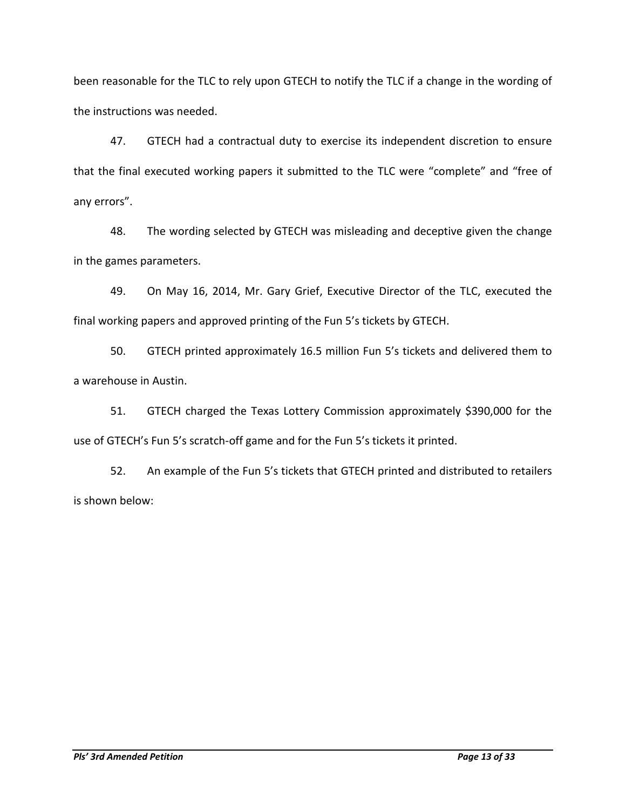been reasonable for the TLC to rely upon GTECH to notify the TLC if a change in the wording of the instructions was needed.

47. GTECH had a contractual duty to exercise its independent discretion to ensure that the final executed working papers it submitted to the TLC were "complete" and "free of any errors".

48. The wording selected by GTECH was misleading and deceptive given the change in the games parameters.

49. On May 16, 2014, Mr. Gary Grief, Executive Director of the TLC, executed the final working papers and approved printing of the Fun 5's tickets by GTECH.

50. GTECH printed approximately 16.5 million Fun 5's tickets and delivered them to a warehouse in Austin.

51. GTECH charged the Texas Lottery Commission approximately \$390,000 for the use of GTECH's Fun 5's scratch-off game and for the Fun 5's tickets it printed.

52. An example of the Fun 5's tickets that GTECH printed and distributed to retailers is shown below: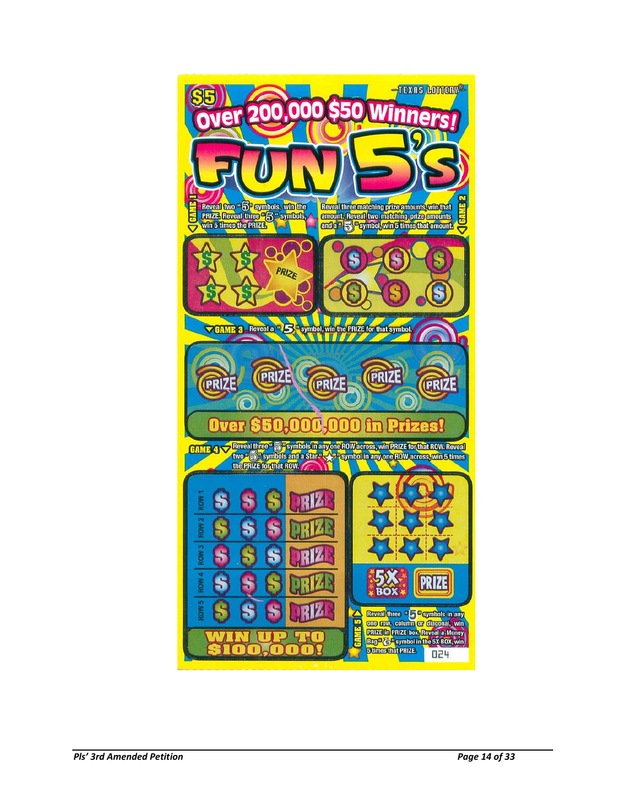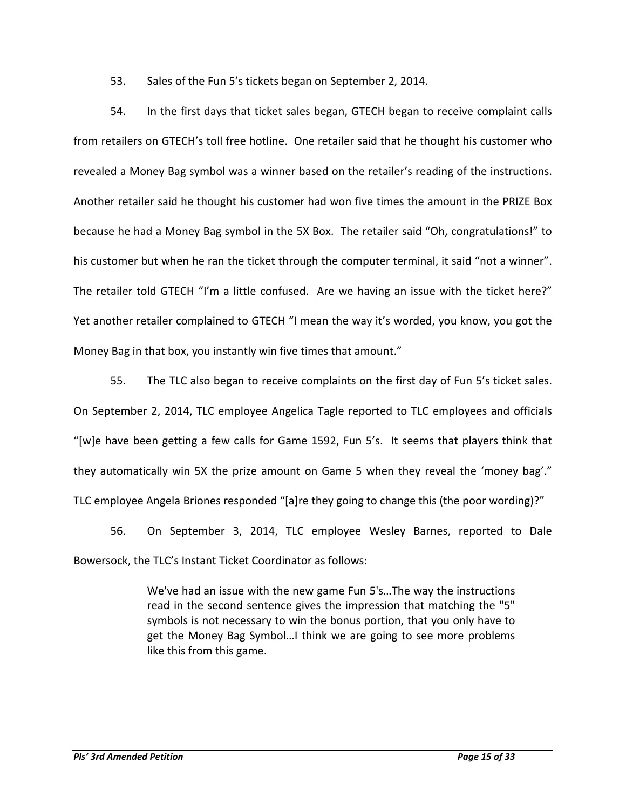53. Sales of the Fun 5's tickets began on September 2, 2014.

54. In the first days that ticket sales began, GTECH began to receive complaint calls from retailers on GTECH's toll free hotline. One retailer said that he thought his customer who revealed a Money Bag symbol was a winner based on the retailer's reading of the instructions. Another retailer said he thought his customer had won five times the amount in the PRIZE Box because he had a Money Bag symbol in the 5X Box. The retailer said "Oh, congratulations!" to his customer but when he ran the ticket through the computer terminal, it said "not a winner". The retailer told GTECH "I'm a little confused. Are we having an issue with the ticket here?" Yet another retailer complained to GTECH "I mean the way it's worded, you know, you got the Money Bag in that box, you instantly win five times that amount."

55. The TLC also began to receive complaints on the first day of Fun 5's ticket sales. On September 2, 2014, TLC employee Angelica Tagle reported to TLC employees and officials "[w]e have been getting a few calls for Game 1592, Fun 5's. It seems that players think that they automatically win 5X the prize amount on Game 5 when they reveal the 'money bag'." TLC employee Angela Briones responded "[a]re they going to change this (the poor wording)?"

56. On September 3, 2014, TLC employee Wesley Barnes, reported to Dale Bowersock, the TLC's Instant Ticket Coordinator as follows:

> We've had an issue with the new game Fun 5's…The way the instructions read in the second sentence gives the impression that matching the "5" symbols is not necessary to win the bonus portion, that you only have to get the Money Bag Symbol…I think we are going to see more problems like this from this game.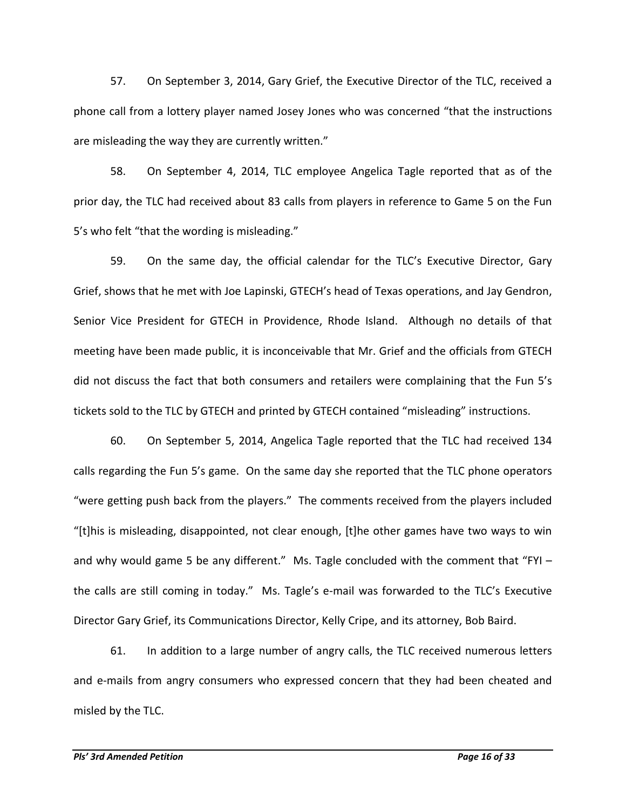57. On September 3, 2014, Gary Grief, the Executive Director of the TLC, received a phone call from a lottery player named Josey Jones who was concerned "that the instructions are misleading the way they are currently written."

58. On September 4, 2014, TLC employee Angelica Tagle reported that as of the prior day, the TLC had received about 83 calls from players in reference to Game 5 on the Fun 5's who felt "that the wording is misleading."

59. On the same day, the official calendar for the TLC's Executive Director, Gary Grief, shows that he met with Joe Lapinski, GTECH's head of Texas operations, and Jay Gendron, Senior Vice President for GTECH in Providence, Rhode Island. Although no details of that meeting have been made public, it is inconceivable that Mr. Grief and the officials from GTECH did not discuss the fact that both consumers and retailers were complaining that the Fun 5's tickets sold to the TLC by GTECH and printed by GTECH contained "misleading" instructions.

60. On September 5, 2014, Angelica Tagle reported that the TLC had received 134 calls regarding the Fun 5's game. On the same day she reported that the TLC phone operators "were getting push back from the players." The comments received from the players included "[t]his is misleading, disappointed, not clear enough, [t]he other games have two ways to win and why would game 5 be any different." Ms. Tagle concluded with the comment that "FYI the calls are still coming in today." Ms. Tagle's e-mail was forwarded to the TLC's Executive Director Gary Grief, its Communications Director, Kelly Cripe, and its attorney, Bob Baird.

61. In addition to a large number of angry calls, the TLC received numerous letters and e-mails from angry consumers who expressed concern that they had been cheated and misled by the TLC.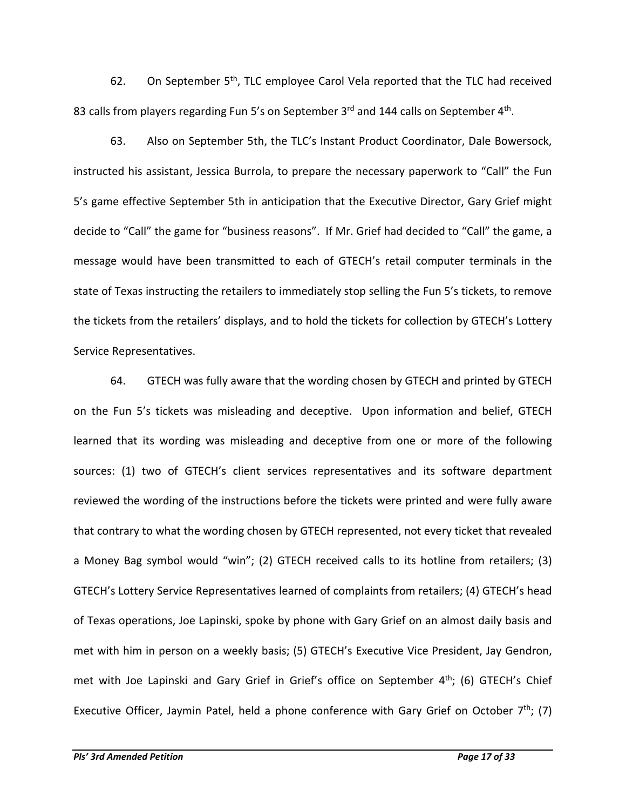62. On September  $5<sup>th</sup>$ , TLC employee Carol Vela reported that the TLC had received 83 calls from players regarding Fun 5's on September 3<sup>rd</sup> and 144 calls on September 4<sup>th</sup>.

63. Also on September 5th, the TLC's Instant Product Coordinator, Dale Bowersock, instructed his assistant, Jessica Burrola, to prepare the necessary paperwork to "Call" the Fun 5's game effective September 5th in anticipation that the Executive Director, Gary Grief might decide to "Call" the game for "business reasons". If Mr. Grief had decided to "Call" the game, a message would have been transmitted to each of GTECH's retail computer terminals in the state of Texas instructing the retailers to immediately stop selling the Fun 5's tickets, to remove the tickets from the retailers' displays, and to hold the tickets for collection by GTECH's Lottery Service Representatives.

64. GTECH was fully aware that the wording chosen by GTECH and printed by GTECH on the Fun 5's tickets was misleading and deceptive. Upon information and belief, GTECH learned that its wording was misleading and deceptive from one or more of the following sources: (1) two of GTECH's client services representatives and its software department reviewed the wording of the instructions before the tickets were printed and were fully aware that contrary to what the wording chosen by GTECH represented, not every ticket that revealed a Money Bag symbol would "win"; (2) GTECH received calls to its hotline from retailers; (3) GTECH's Lottery Service Representatives learned of complaints from retailers; (4) GTECH's head of Texas operations, Joe Lapinski, spoke by phone with Gary Grief on an almost daily basis and met with him in person on a weekly basis; (5) GTECH's Executive Vice President, Jay Gendron, met with Joe Lapinski and Gary Grief in Grief's office on September  $4<sup>th</sup>$ ; (6) GTECH's Chief Executive Officer, Jaymin Patel, held a phone conference with Gary Grief on October 7<sup>th</sup>; (7)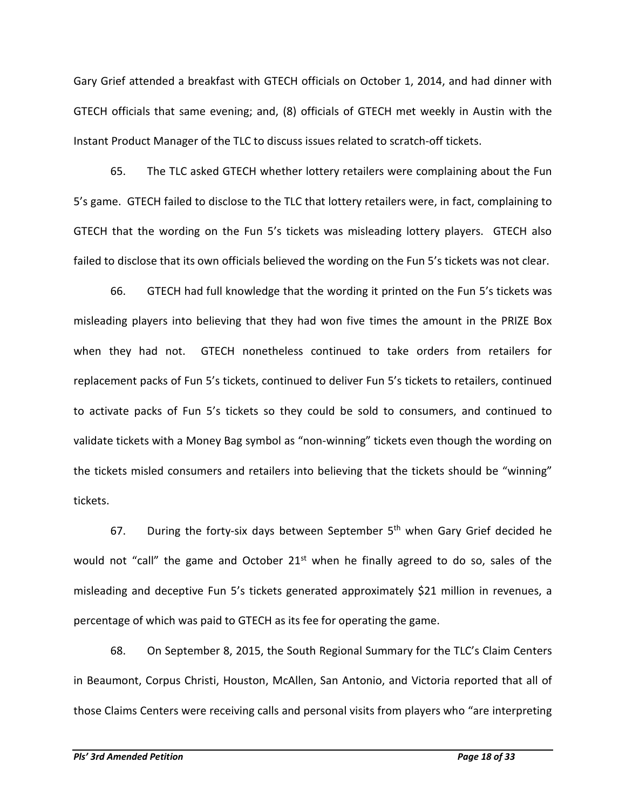Gary Grief attended a breakfast with GTECH officials on October 1, 2014, and had dinner with GTECH officials that same evening; and, (8) officials of GTECH met weekly in Austin with the Instant Product Manager of the TLC to discuss issues related to scratch-off tickets.

65. The TLC asked GTECH whether lottery retailers were complaining about the Fun 5's game. GTECH failed to disclose to the TLC that lottery retailers were, in fact, complaining to GTECH that the wording on the Fun 5's tickets was misleading lottery players. GTECH also failed to disclose that its own officials believed the wording on the Fun 5's tickets was not clear.

66. GTECH had full knowledge that the wording it printed on the Fun 5's tickets was misleading players into believing that they had won five times the amount in the PRIZE Box when they had not. GTECH nonetheless continued to take orders from retailers for replacement packs of Fun 5's tickets, continued to deliver Fun 5's tickets to retailers, continued to activate packs of Fun 5's tickets so they could be sold to consumers, and continued to validate tickets with a Money Bag symbol as "non-winning" tickets even though the wording on the tickets misled consumers and retailers into believing that the tickets should be "winning" tickets.

67. During the forty-six days between September  $5<sup>th</sup>$  when Gary Grief decided he would not "call" the game and October 21<sup>st</sup> when he finally agreed to do so, sales of the misleading and deceptive Fun 5's tickets generated approximately \$21 million in revenues, a percentage of which was paid to GTECH as its fee for operating the game.

68. On September 8, 2015, the South Regional Summary for the TLC's Claim Centers in Beaumont, Corpus Christi, Houston, McAllen, San Antonio, and Victoria reported that all of those Claims Centers were receiving calls and personal visits from players who "are interpreting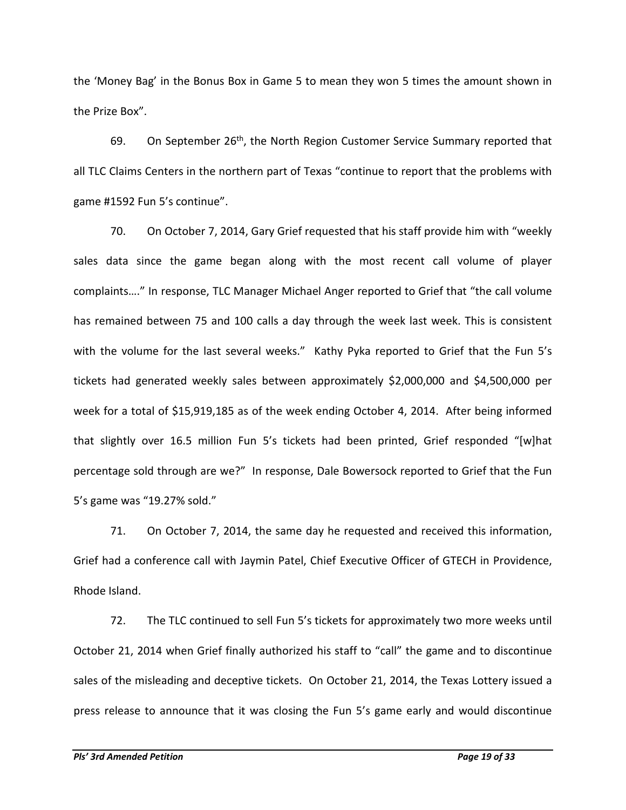the 'Money Bag' in the Bonus Box in Game 5 to mean they won 5 times the amount shown in the Prize Box".

69. On September 26<sup>th</sup>, the North Region Customer Service Summary reported that all TLC Claims Centers in the northern part of Texas "continue to report that the problems with game #1592 Fun 5's continue".

70. On October 7, 2014, Gary Grief requested that his staff provide him with "weekly sales data since the game began along with the most recent call volume of player complaints…." In response, TLC Manager Michael Anger reported to Grief that "the call volume has remained between 75 and 100 calls a day through the week last week. This is consistent with the volume for the last several weeks." Kathy Pyka reported to Grief that the Fun 5's tickets had generated weekly sales between approximately \$2,000,000 and \$4,500,000 per week for a total of \$15,919,185 as of the week ending October 4, 2014. After being informed that slightly over 16.5 million Fun 5's tickets had been printed, Grief responded "[w]hat percentage sold through are we?" In response, Dale Bowersock reported to Grief that the Fun 5's game was "19.27% sold."

71. On October 7, 2014, the same day he requested and received this information, Grief had a conference call with Jaymin Patel, Chief Executive Officer of GTECH in Providence, Rhode Island.

72. The TLC continued to sell Fun 5's tickets for approximately two more weeks until October 21, 2014 when Grief finally authorized his staff to "call" the game and to discontinue sales of the misleading and deceptive tickets. On October 21, 2014, the Texas Lottery issued a press release to announce that it was closing the Fun 5's game early and would discontinue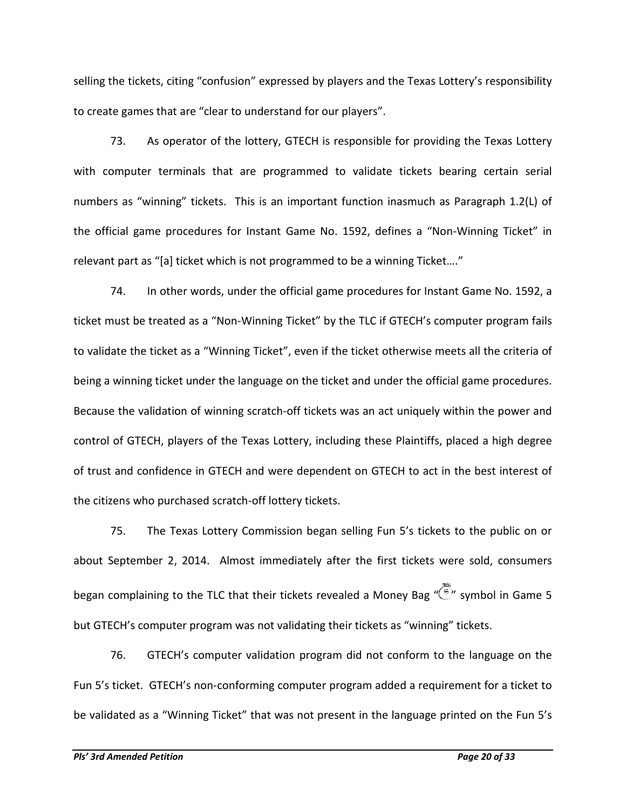selling the tickets, citing "confusion" expressed by players and the Texas Lottery's responsibility to create games that are "clear to understand for our players".

73. As operator of the lottery, GTECH is responsible for providing the Texas Lottery with computer terminals that are programmed to validate tickets bearing certain serial numbers as "winning" tickets. This is an important function inasmuch as Paragraph 1.2(L) of the official game procedures for Instant Game No. 1592, defines a "Non-Winning Ticket" in relevant part as "[a] ticket which is not programmed to be a winning Ticket…."

74. In other words, under the official game procedures for Instant Game No. 1592, a ticket must be treated as a "Non-Winning Ticket" by the TLC if GTECH's computer program fails to validate the ticket as a "Winning Ticket", even if the ticket otherwise meets all the criteria of being a winning ticket under the language on the ticket and under the official game procedures. Because the validation of winning scratch-off tickets was an act uniquely within the power and control of GTECH, players of the Texas Lottery, including these Plaintiffs, placed a high degree of trust and confidence in GTECH and were dependent on GTECH to act in the best interest of the citizens who purchased scratch-off lottery tickets.

75. The Texas Lottery Commission began selling Fun 5's tickets to the public on or about September 2, 2014. Almost immediately after the first tickets were sold, consumers began complaining to the TLC that their tickets revealed a Money Bag " " symbol in Game 5 but GTECH's computer program was not validating their tickets as "winning" tickets.

76. GTECH's computer validation program did not conform to the language on the Fun 5's ticket. GTECH's non-conforming computer program added a requirement for a ticket to be validated as a "Winning Ticket" that was not present in the language printed on the Fun 5's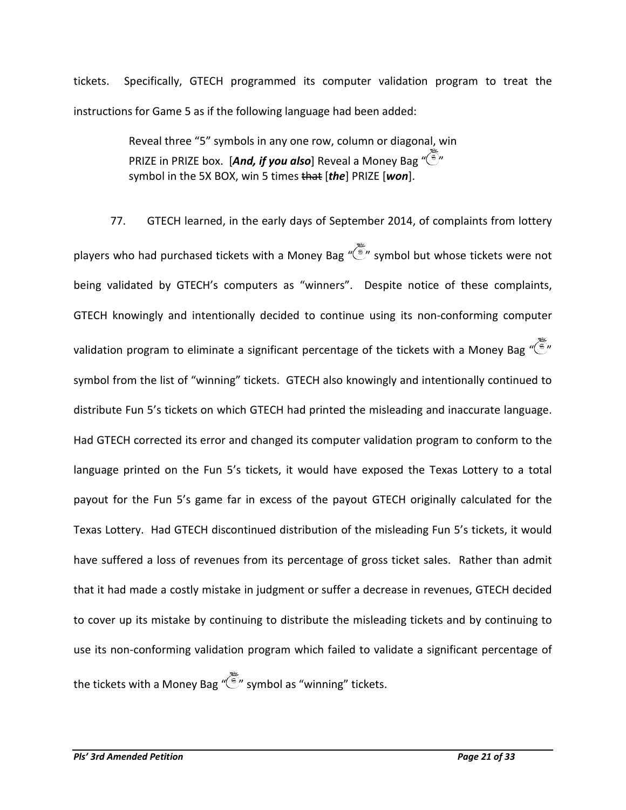tickets. Specifically, GTECH programmed its computer validation program to treat the instructions for Game 5 as if the following language had been added:

> Reveal three "5" symbols in any one row, column or diagonal, win PRIZE in PRIZE box. [And, if you also] Reveal a Monev Bag "(S)" symbol in the 5X BOX, win 5 times that [*the*] PRIZE [*won*].

77. GTECH learned, in the early days of September 2014, of complaints from lottery players who had purchased tickets with a Money Bag " "" symbol but whose tickets were not being validated by GTECH's computers as "winners". Despite notice of these complaints, GTECH knowingly and intentionally decided to continue using its non-conforming computer validation program to eliminate a significant percentage of the tickets with a Money Bag  $\sqrt[q]{\mathbb{P}}$ " symbol from the list of "winning" tickets. GTECH also knowingly and intentionally continued to distribute Fun 5's tickets on which GTECH had printed the misleading and inaccurate language. Had GTECH corrected its error and changed its computer validation program to conform to the language printed on the Fun 5's tickets, it would have exposed the Texas Lottery to a total payout for the Fun 5's game far in excess of the payout GTECH originally calculated for the Texas Lottery. Had GTECH discontinued distribution of the misleading Fun 5's tickets, it would have suffered a loss of revenues from its percentage of gross ticket sales. Rather than admit that it had made a costly mistake in judgment or suffer a decrease in revenues, GTECH decided to cover up its mistake by continuing to distribute the misleading tickets and by continuing to use its non-conforming validation program which failed to validate a significant percentage of the tickets with a Money Bag  $\sqrt{\frac{2}{n}}$  symbol as "winning" tickets.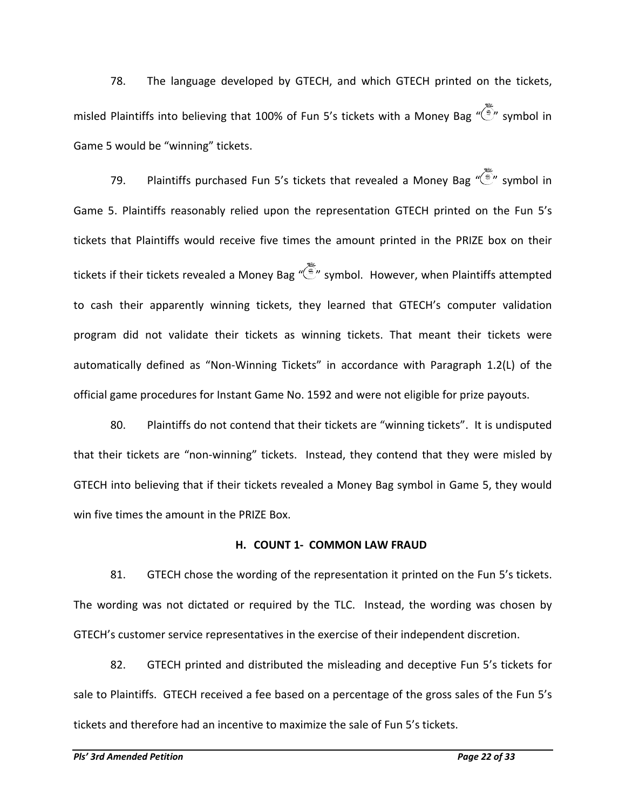78. The language developed by GTECH, and which GTECH printed on the tickets, misled Plaintiffs into believing that 100% of Fun 5's tickets with a Money Bag " symbol in Game 5 would be "winning" tickets.

79. Plaintiffs purchased Fun 5's tickets that revealed a Money Bag  $\widetilde{\mathbb{S}}^n$  symbol in Game 5. Plaintiffs reasonably relied upon the representation GTECH printed on the Fun 5's tickets that Plaintiffs would receive five times the amount printed in the PRIZE box on their tickets if their tickets revealed a Money Bag " symbol. However, when Plaintiffs attempted to cash their apparently winning tickets, they learned that GTECH's computer validation program did not validate their tickets as winning tickets. That meant their tickets were automatically defined as "Non-Winning Tickets" in accordance with Paragraph 1.2(L) of the official game procedures for Instant Game No. 1592 and were not eligible for prize payouts.

80. Plaintiffs do not contend that their tickets are "winning tickets". It is undisputed that their tickets are "non-winning" tickets. Instead, they contend that they were misled by GTECH into believing that if their tickets revealed a Money Bag symbol in Game 5, they would win five times the amount in the PRIZE Box.

#### **H. COUNT 1- COMMON LAW FRAUD**

81. GTECH chose the wording of the representation it printed on the Fun 5's tickets. The wording was not dictated or required by the TLC. Instead, the wording was chosen by GTECH's customer service representatives in the exercise of their independent discretion.

82. GTECH printed and distributed the misleading and deceptive Fun 5's tickets for sale to Plaintiffs. GTECH received a fee based on a percentage of the gross sales of the Fun 5's tickets and therefore had an incentive to maximize the sale of Fun 5's tickets.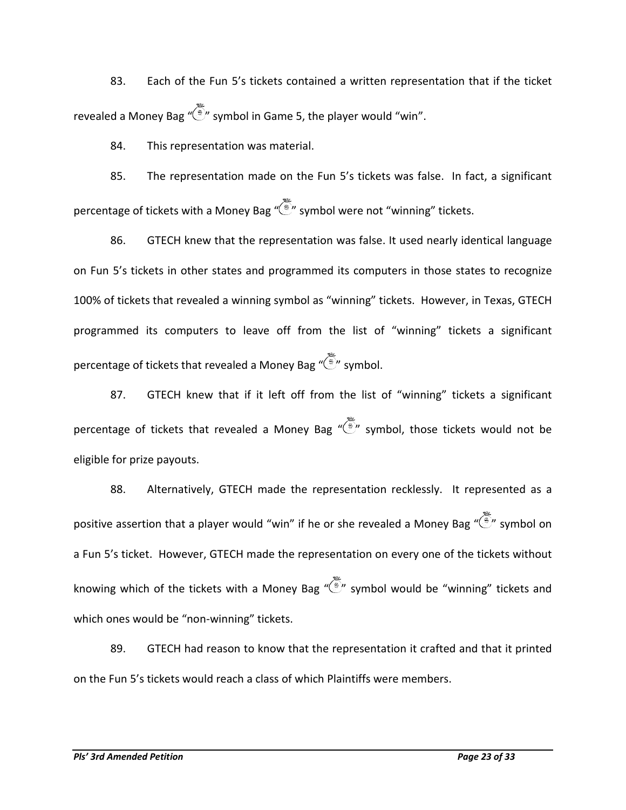83. Each of the Fun 5's tickets contained a written representation that if the ticket revealed a Money Bag " $\tilde{\mathbb{F}}$ " symbol in Game 5, the player would "win".

84. This representation was material.

85. The representation made on the Fun 5's tickets was false. In fact, a significant percentage of tickets with a Money Bag " $\tilde{\bullet}$ " symbol were not "winning" tickets.

86. GTECH knew that the representation was false. It used nearly identical language on Fun 5's tickets in other states and programmed its computers in those states to recognize 100% of tickets that revealed a winning symbol as "winning" tickets. However, in Texas, GTECH programmed its computers to leave off from the list of "winning" tickets a significant percentage of tickets that revealed a Money Bag " " symbol.

87. GTECH knew that if it left off from the list of "winning" tickets a significant percentage of tickets that revealed a Money Bag " $\frac{1}{2}$ " symbol, those tickets would not be eligible for prize payouts.

88. Alternatively, GTECH made the representation recklessly. It represented as a positive assertion that a player would "win" if he or she revealed a Money Bag " $\tilde{\ll}$ " symbol on a Fun 5's ticket. However, GTECH made the representation on every one of the tickets without knowing which of the tickets with a Money Bag " $\tilde{\binom{3}{2}}$ " symbol would be "winning" tickets and which ones would be "non-winning" tickets.

89. GTECH had reason to know that the representation it crafted and that it printed on the Fun 5's tickets would reach a class of which Plaintiffs were members.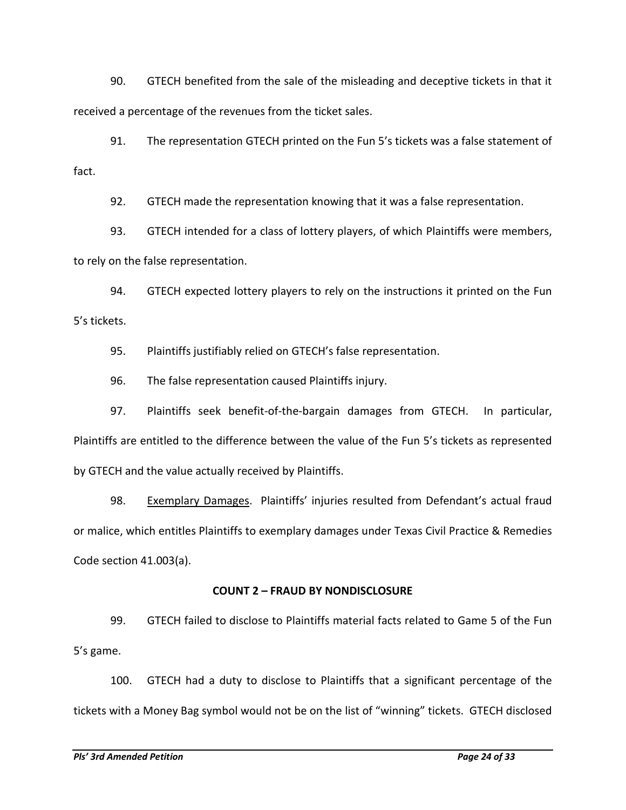90. GTECH benefited from the sale of the misleading and deceptive tickets in that it received a percentage of the revenues from the ticket sales.

91. The representation GTECH printed on the Fun 5's tickets was a false statement of fact.

92. GTECH made the representation knowing that it was a false representation.

93. GTECH intended for a class of lottery players, of which Plaintiffs were members, to rely on the false representation.

94. GTECH expected lottery players to rely on the instructions it printed on the Fun 5's tickets.

95. Plaintiffs justifiably relied on GTECH's false representation.

96. The false representation caused Plaintiffs injury.

97. Plaintiffs seek benefit-of-the-bargain damages from GTECH. In particular, Plaintiffs are entitled to the difference between the value of the Fun 5's tickets as represented by GTECH and the value actually received by Plaintiffs.

98. Exemplary Damages. Plaintiffs' injuries resulted from Defendant's actual fraud or malice, which entitles Plaintiffs to exemplary damages under Texas Civil Practice & Remedies Code section 41.003(a).

## **COUNT 2 – FRAUD BY NONDISCLOSURE**

99. GTECH failed to disclose to Plaintiffs material facts related to Game 5 of the Fun 5's game.

100. GTECH had a duty to disclose to Plaintiffs that a significant percentage of the tickets with a Money Bag symbol would not be on the list of "winning" tickets. GTECH disclosed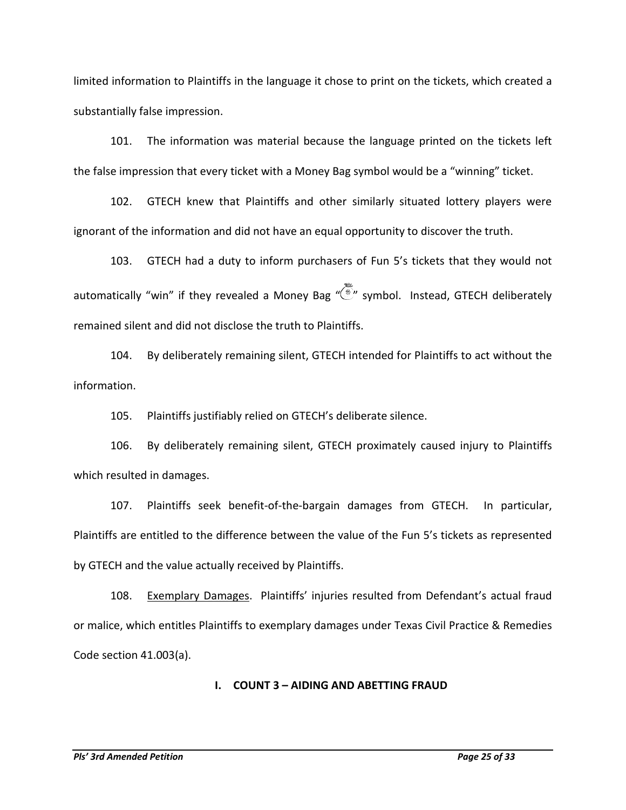limited information to Plaintiffs in the language it chose to print on the tickets, which created a substantially false impression.

101. The information was material because the language printed on the tickets left the false impression that every ticket with a Money Bag symbol would be a "winning" ticket.

102. GTECH knew that Plaintiffs and other similarly situated lottery players were ignorant of the information and did not have an equal opportunity to discover the truth.

103. GTECH had a duty to inform purchasers of Fun 5's tickets that they would not automatically "win" if they revealed a Money Bag " symbol. Instead, GTECH deliberately remained silent and did not disclose the truth to Plaintiffs.

104. By deliberately remaining silent, GTECH intended for Plaintiffs to act without the information.

105. Plaintiffs justifiably relied on GTECH's deliberate silence.

106. By deliberately remaining silent, GTECH proximately caused injury to Plaintiffs which resulted in damages.

107. Plaintiffs seek benefit-of-the-bargain damages from GTECH. In particular, Plaintiffs are entitled to the difference between the value of the Fun 5's tickets as represented by GTECH and the value actually received by Plaintiffs.

108. Exemplary Damages. Plaintiffs' injuries resulted from Defendant's actual fraud or malice, which entitles Plaintiffs to exemplary damages under Texas Civil Practice & Remedies Code section 41.003(a).

#### **I. COUNT 3 – AIDING AND ABETTING FRAUD**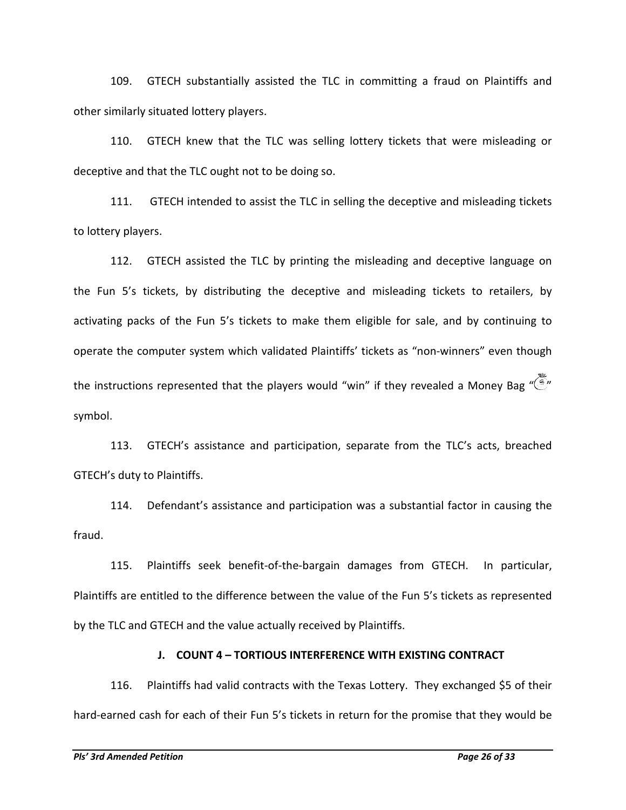109. GTECH substantially assisted the TLC in committing a fraud on Plaintiffs and other similarly situated lottery players.

110. GTECH knew that the TLC was selling lottery tickets that were misleading or deceptive and that the TLC ought not to be doing so.

111. GTECH intended to assist the TLC in selling the deceptive and misleading tickets to lottery players.

112. GTECH assisted the TLC by printing the misleading and deceptive language on the Fun 5's tickets, by distributing the deceptive and misleading tickets to retailers, by activating packs of the Fun 5's tickets to make them eligible for sale, and by continuing to operate the computer system which validated Plaintiffs' tickets as "non-winners" even though the instructions represented that the players would "win" if they revealed a Money Bag  $\widetilde{\mathbb{Z}}$ " symbol.

113. GTECH's assistance and participation, separate from the TLC's acts, breached GTECH's duty to Plaintiffs.

114. Defendant's assistance and participation was a substantial factor in causing the fraud.

115. Plaintiffs seek benefit-of-the-bargain damages from GTECH. In particular, Plaintiffs are entitled to the difference between the value of the Fun 5's tickets as represented by the TLC and GTECH and the value actually received by Plaintiffs.

### **J. COUNT 4 – TORTIOUS INTERFERENCE WITH EXISTING CONTRACT**

116. Plaintiffs had valid contracts with the Texas Lottery. They exchanged \$5 of their hard-earned cash for each of their Fun 5's tickets in return for the promise that they would be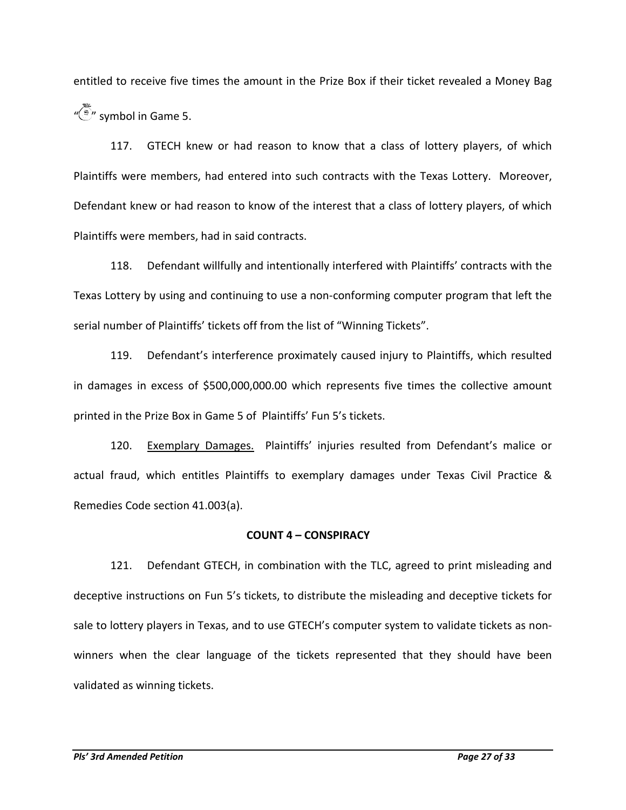entitled to receive five times the amount in the Prize Box if their ticket revealed a Money Bag  $\sqrt{\frac{m}{n}}$  symbol in Game 5.

117. GTECH knew or had reason to know that a class of lottery players, of which Plaintiffs were members, had entered into such contracts with the Texas Lottery. Moreover, Defendant knew or had reason to know of the interest that a class of lottery players, of which Plaintiffs were members, had in said contracts.

118. Defendant willfully and intentionally interfered with Plaintiffs' contracts with the Texas Lottery by using and continuing to use a non-conforming computer program that left the serial number of Plaintiffs' tickets off from the list of "Winning Tickets".

119. Defendant's interference proximately caused injury to Plaintiffs, which resulted in damages in excess of \$500,000,000.00 which represents five times the collective amount printed in the Prize Box in Game 5 of Plaintiffs' Fun 5's tickets.

120. Exemplary Damages. Plaintiffs' injuries resulted from Defendant's malice or actual fraud, which entitles Plaintiffs to exemplary damages under Texas Civil Practice & Remedies Code section 41.003(a).

### **COUNT 4 – CONSPIRACY**

121. Defendant GTECH, in combination with the TLC, agreed to print misleading and deceptive instructions on Fun 5's tickets, to distribute the misleading and deceptive tickets for sale to lottery players in Texas, and to use GTECH's computer system to validate tickets as nonwinners when the clear language of the tickets represented that they should have been validated as winning tickets.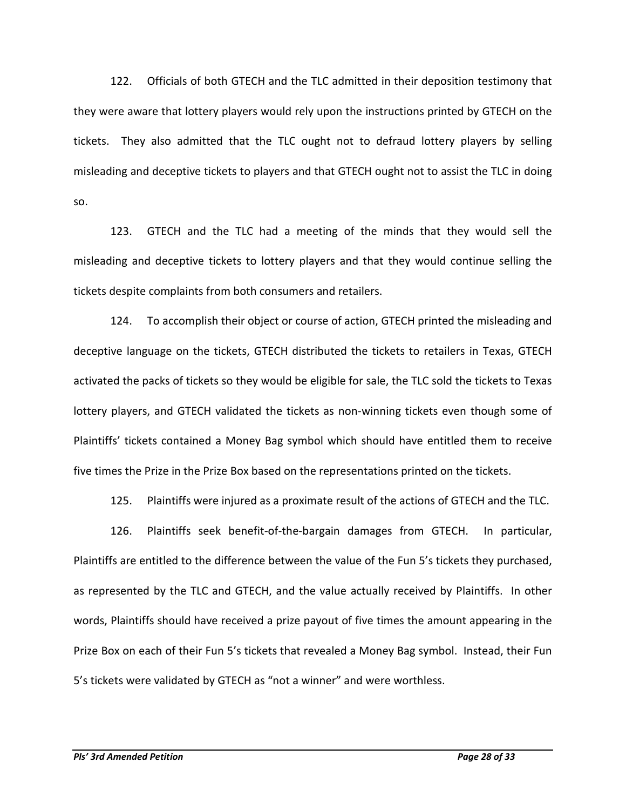122. Officials of both GTECH and the TLC admitted in their deposition testimony that they were aware that lottery players would rely upon the instructions printed by GTECH on the tickets. They also admitted that the TLC ought not to defraud lottery players by selling misleading and deceptive tickets to players and that GTECH ought not to assist the TLC in doing so.

123. GTECH and the TLC had a meeting of the minds that they would sell the misleading and deceptive tickets to lottery players and that they would continue selling the tickets despite complaints from both consumers and retailers.

124. To accomplish their object or course of action, GTECH printed the misleading and deceptive language on the tickets, GTECH distributed the tickets to retailers in Texas, GTECH activated the packs of tickets so they would be eligible for sale, the TLC sold the tickets to Texas lottery players, and GTECH validated the tickets as non-winning tickets even though some of Plaintiffs' tickets contained a Money Bag symbol which should have entitled them to receive five times the Prize in the Prize Box based on the representations printed on the tickets.

125. Plaintiffs were injured as a proximate result of the actions of GTECH and the TLC.

126. Plaintiffs seek benefit-of-the-bargain damages from GTECH. In particular, Plaintiffs are entitled to the difference between the value of the Fun 5's tickets they purchased, as represented by the TLC and GTECH, and the value actually received by Plaintiffs. In other words, Plaintiffs should have received a prize payout of five times the amount appearing in the Prize Box on each of their Fun 5's tickets that revealed a Money Bag symbol. Instead, their Fun 5's tickets were validated by GTECH as "not a winner" and were worthless.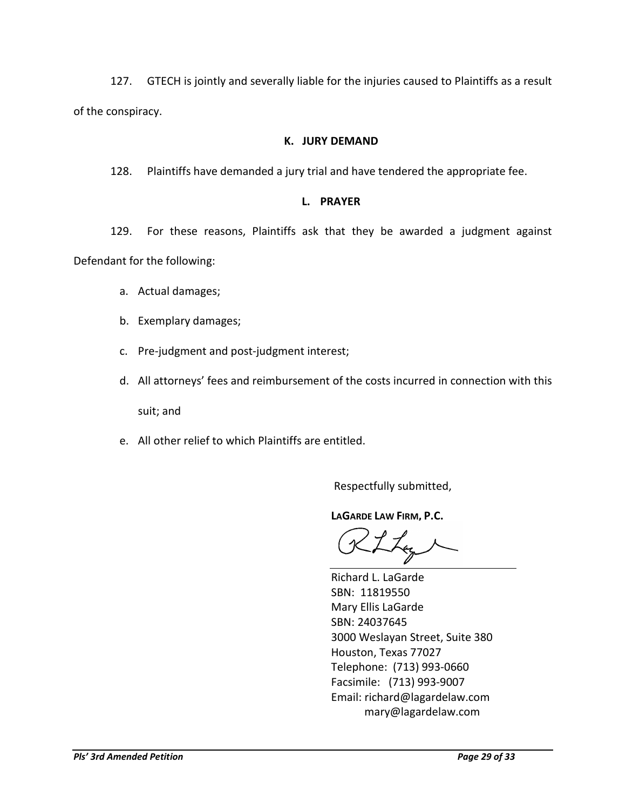127. GTECH is jointly and severally liable for the injuries caused to Plaintiffs as a result of the conspiracy.

### **K. JURY DEMAND**

128. Plaintiffs have demanded a jury trial and have tendered the appropriate fee.

### **L. PRAYER**

129. For these reasons, Plaintiffs ask that they be awarded a judgment against Defendant for the following:

- a. Actual damages;
- b. Exemplary damages;
- c. Pre-judgment and post-judgment interest;
- d. All attorneys' fees and reimbursement of the costs incurred in connection with this suit; and
- e. All other relief to which Plaintiffs are entitled.

Respectfully submitted,

**LAGARDE LAW FIRM, P.C.**

Richard L. LaGarde SBN: 11819550 Mary Ellis LaGarde SBN: 24037645 3000 Weslayan Street, Suite 380 Houston, Texas 77027 Telephone: (713) 993-0660 Facsimile: (713) 993-9007 Email: richard@lagardelaw.com mary@lagardelaw.com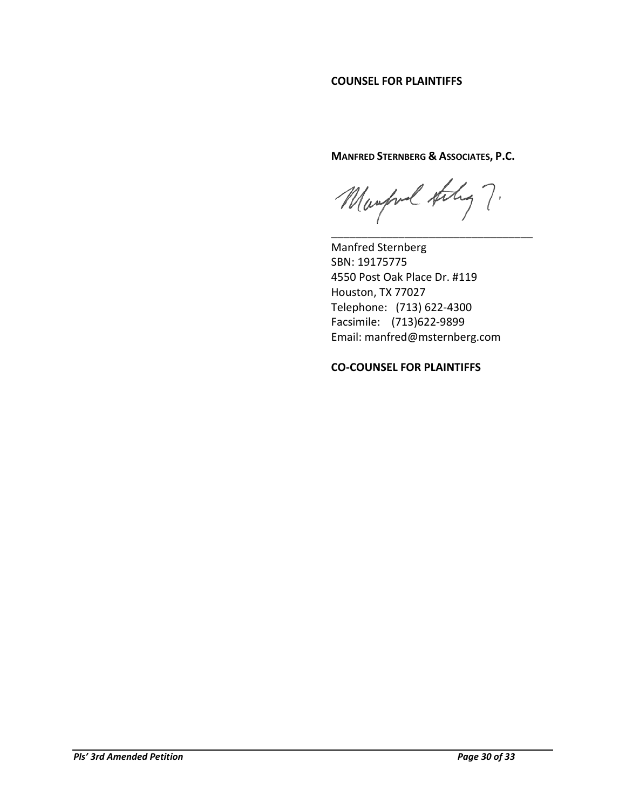#### **COUNSEL FOR PLAINTIFFS**

**MANFRED STERNBERG & ASSOCIATES, P.C.**

Manford taking ?. \_\_\_\_\_\_\_\_\_\_\_\_\_\_\_\_\_\_\_\_\_\_\_\_\_\_\_\_\_\_\_\_\_

Manfred Sternberg SBN: 19175775 4550 Post Oak Place Dr. #119 Houston, TX 77027 Telephone: (713) 622-4300 Facsimile: (713)622-9899 Email: [manfred@msternberg.com](mailto:manfred@msternberg.com)

**CO-COUNSEL FOR PLAINTIFFS**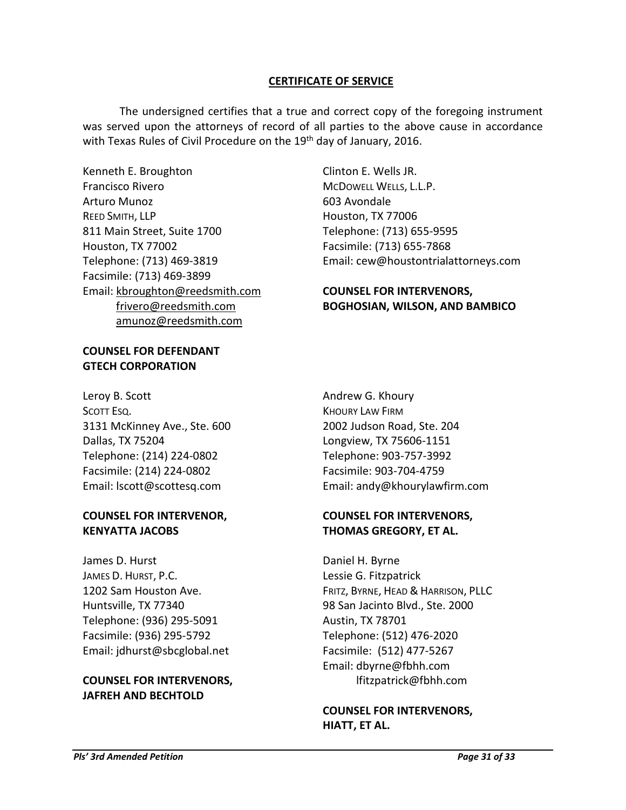#### **CERTIFICATE OF SERVICE**

The undersigned certifies that a true and correct copy of the foregoing instrument was served upon the attorneys of record of all parties to the above cause in accordance with Texas Rules of Civil Procedure on the 19<sup>th</sup> day of January, 2016.

Kenneth E. Broughton Francisco Rivero Arturo Munoz REED SMITH, LLP 811 Main Street, Suite 1700 Houston, TX 77002 Telephone: (713) 469-3819 Facsimile: (713) 469-3899 Email: [kbroughton@reedsmith.com](mailto:kbroughton@reedsmith.com) [frivero@reedsmith.com](mailto:frivero@reedsmith.com) [amunoz@reedsmith.com](mailto:amunoz@reedsmith.com)

#### **COUNSEL FOR DEFENDANT GTECH CORPORATION**

Leroy B. Scott SCOTT ESQ. 3131 McKinney Ave., Ste. 600 Dallas, TX 75204 Telephone: (214) 224-0802 Facsimile: (214) 224-0802 Email: lscott@scottesq.com

#### **COUNSEL FOR INTERVENOR, KENYATTA JACOBS**

James D. Hurst JAMES D. HURST, P.C. 1202 Sam Houston Ave. Huntsville, TX 77340 Telephone: (936) 295-5091 Facsimile: (936) 295-5792 Email: jdhurst@sbcglobal.net

### **COUNSEL FOR INTERVENORS, JAFREH AND BECHTOLD**

Clinton E. Wells JR. MCDOWELL WELLS, L.L.P. 603 Avondale Houston, TX 77006 Telephone: (713) 655-9595 Facsimile: (713) 655-7868 Email: cew@houstontrialattorneys.com

### **COUNSEL FOR INTERVENORS, BOGHOSIAN, WILSON, AND BAMBICO**

Andrew G. Khoury KHOURY LAW FIRM 2002 Judson Road, Ste. 204 Longview, TX 75606-1151 Telephone: 903-757-3992 Facsimile: 903-704-4759 Email: andy@khourylawfirm.com

### **COUNSEL FOR INTERVENORS, THOMAS GREGORY, ET AL.**

Daniel H. Byrne Lessie G. Fitzpatrick FRITZ, BYRNE, HEAD & HARRISON, PLLC 98 San Jacinto Blvd., Ste. 2000 Austin, TX 78701 Telephone: (512) 476-2020 Facsimile: (512) 477-5267 Email: dbyrne@fbhh.com lfitzpatrick@fbhh.com

#### **COUNSEL FOR INTERVENORS, HIATT, ET AL.**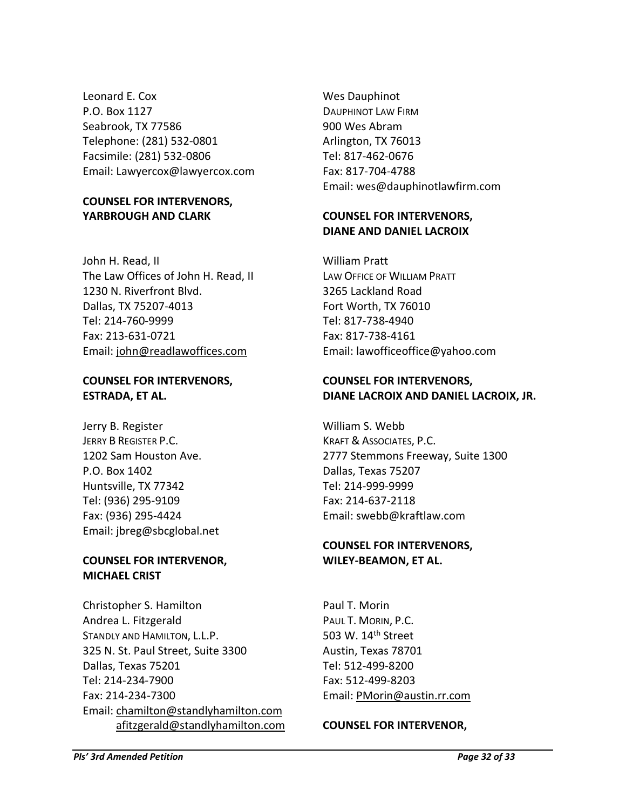Leonard E. Cox P.O. Box 1127 Seabrook, TX 77586 Telephone: (281) 532-0801 Facsimile: (281) 532-0806 Email: Lawyercox@lawyercox.com

### **COUNSEL FOR INTERVENORS, YARBROUGH AND CLARK**

John H. Read, II The Law Offices of John H. Read, II 1230 N. Riverfront Blvd. Dallas, TX 75207-4013 Tel: 214-760-9999 Fax: 213-631-0721 Email: [john@readlawoffices.com](mailto:john@readlawoffices.com)

### **COUNSEL FOR INTERVENORS, ESTRADA, ET AL.**

Jerry B. Register JERRY B REGISTER P.C. 1202 Sam Houston Ave. P.O. Box 1402 Huntsville, TX 77342 Tel: (936) 295-9109 Fax: (936) 295-4424 Email: jbreg@sbcglobal.net

## **COUNSEL FOR INTERVENOR, MICHAEL CRIST**

Christopher S. Hamilton Andrea L. Fitzgerald STANDLY AND HAMILTON, L.L.P. 325 N. St. Paul Street, Suite 3300 Dallas, Texas 75201 Tel: 214-234-7900 Fax: 214-234-7300 Email: [chamilton@standlyhamilton.com](mailto:chamilton@standlyhamilton.com) [afitzgerald@standlyhamilton.com](mailto:afitzgerald@standlyhamilton.com)

Wes Dauphinot DAUPHINOT LAW FIRM 900 Wes Abram Arlington, TX 76013 Tel: 817-462-0676 Fax: 817-704-4788 Email: wes@dauphinotlawfirm.com

### **COUNSEL FOR INTERVENORS, DIANE AND DANIEL LACROIX**

William Pratt LAW OFFICE OF WILLIAM PRATT 3265 Lackland Road Fort Worth, TX 76010 Tel: 817-738-4940 Fax: 817-738-4161 Email: lawofficeoffice@yahoo.com

### **COUNSEL FOR INTERVENORS, DIANE LACROIX AND DANIEL LACROIX, JR.**

William S. Webb KRAFT & ASSOCIATES, P.C. 2777 Stemmons Freeway, Suite 1300 Dallas, Texas 75207 Tel: 214-999-9999 Fax: 214-637-2118 Email: swebb@kraftlaw.com

### **COUNSEL FOR INTERVENORS, WILEY-BEAMON, ET AL.**

Paul T. Morin PAUL T. MORIN, P.C. 503 W. 14<sup>th</sup> Street Austin, Texas 78701 Tel: 512-499-8200 Fax: 512-499-8203 Email: [PMorin@austin.rr.com](mailto:PMorin@austin.rr.com)

### **COUNSEL FOR INTERVENOR,**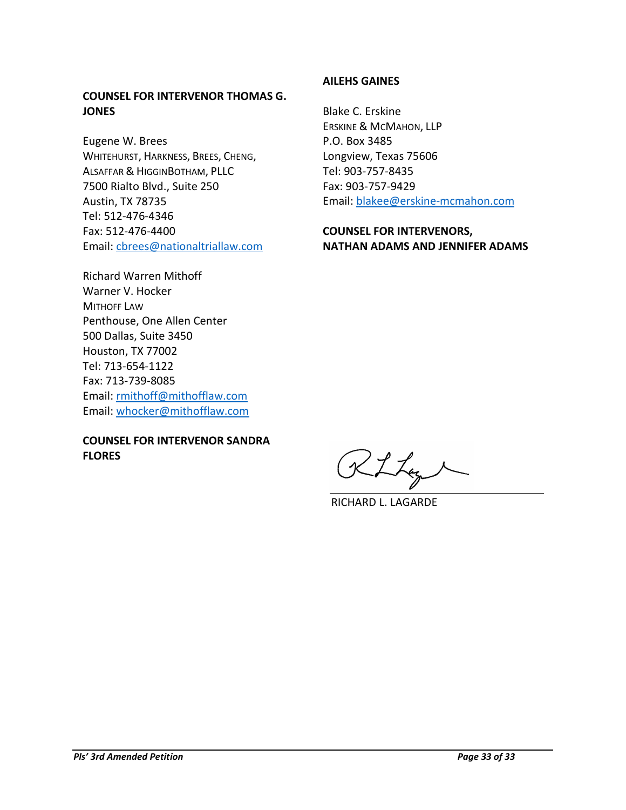### **COUNSEL FOR INTERVENOR THOMAS G. JONES**

Eugene W. Brees WHITEHURST, HARKNESS, BREES, CHENG, ALSAFFAR & HIGGINBOTHAM, PLLC 7500 Rialto Blvd., Suite 250 Austin, TX 78735 Tel: 512-476-4346 Fax: 512-476-4400 Email: [cbrees@nationaltriallaw.com](mailto:cbrees@nationaltriallaw.com)

Richard Warren Mithoff Warner V. Hocker MITHOFF LAW Penthouse, One Allen Center 500 Dallas, Suite 3450 Houston, TX 77002 Tel: 713-654-1122 Fax: 713-739-8085 Email: [rmithoff@mithofflaw.com](mailto:rmithoff@mithofflaw.com)  Email: [whocker@mithofflaw.com](mailto:whocker@mithofflaw.com)

### **COUNSEL FOR INTERVENOR SANDRA FLORES**

### **AILEHS GAINES**

Blake C. Erskine ERSKINE & MCMAHON, LLP P.O. Box 3485 Longview, Texas 75606 Tel: 903-757-8435 Fax: 903-757-9429 Email: [blakee@erskine-mcmahon.com](mailto:blakee@erskine-mcmahon.com)

### **COUNSEL FOR INTERVENORS, NATHAN ADAMS AND JENNIFER ADAMS**

RLLag

RICHARD L. LAGARDE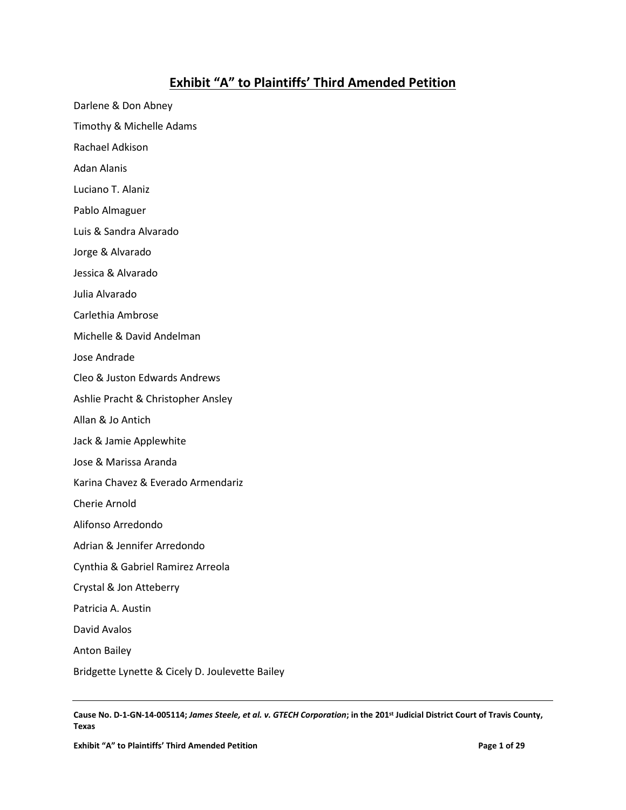# **Exhibit "A" to Plaintiffs' Third Amended Petition**

Darlene & Don Abney Timothy & Michelle Adams Rachael Adkison Adan Alanis Luciano T. Alaniz Pablo Almaguer Luis & Sandra Alvarado Jorge & Alvarado Jessica & Alvarado Julia Alvarado Carlethia Ambrose Michelle & David Andelman Jose Andrade Cleo & Juston Edwards Andrews Ashlie Pracht & Christopher Ansley Allan & Jo Antich Jack & Jamie Applewhite Jose & Marissa Aranda Karina Chavez & Everado Armendariz Cherie Arnold Alifonso Arredondo Adrian & Jennifer Arredondo Cynthia & Gabriel Ramirez Arreola Crystal & Jon Atteberry Patricia A. Austin David Avalos Anton Bailey Bridgette Lynette & Cicely D. Joulevette Bailey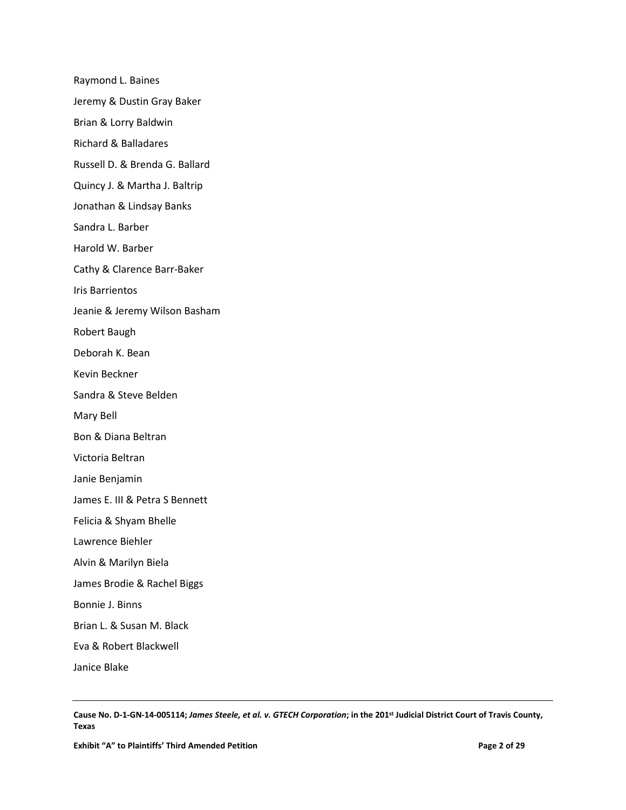Raymond L. Baines Jeremy & Dustin Gray Baker Brian & Lorry Baldwin Richard & Balladares Russell D. & Brenda G. Ballard Quincy J. & Martha J. Baltrip Jonathan & Lindsay Banks Sandra L. Barber Harold W. Barber Cathy & Clarence Barr-Baker Iris Barrientos Jeanie & Jeremy Wilson Basham Robert Baugh Deborah K. Bean Kevin Beckner Sandra & Steve Belden Mary Bell Bon & Diana Beltran Victoria Beltran Janie Benjamin James E. III & Petra S Bennett Felicia & Shyam Bhelle Lawrence Biehler Alvin & Marilyn Biela James Brodie & Rachel Biggs Bonnie J. Binns Brian L. & Susan M. Black Eva & Robert Blackwell Janice Blake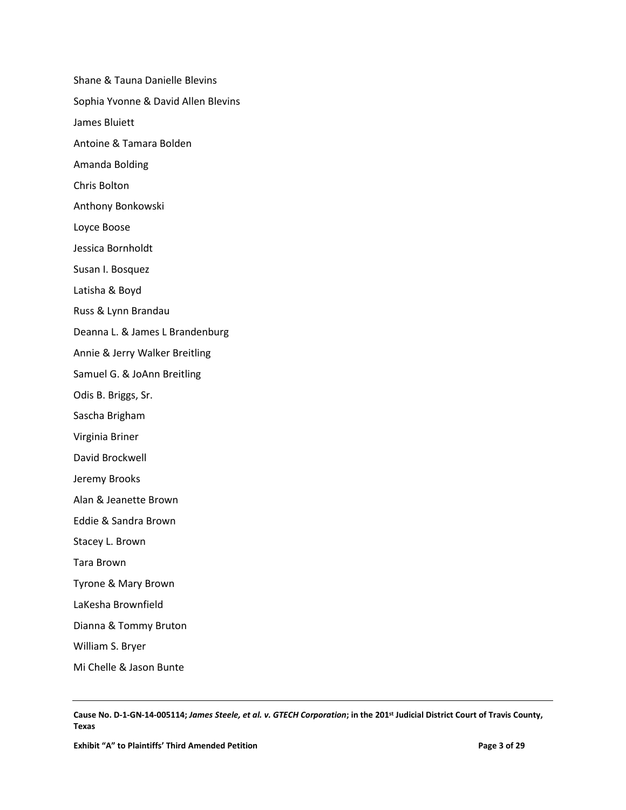Shane & Tauna Danielle Blevins Sophia Yvonne & David Allen Blevins James Bluiett Antoine & Tamara Bolden Amanda Bolding Chris Bolton Anthony Bonkowski Loyce Boose Jessica Bornholdt Susan I. Bosquez Latisha & Boyd Russ & Lynn Brandau Deanna L. & James L Brandenburg Annie & Jerry Walker Breitling Samuel G. & JoAnn Breitling Odis B. Briggs, Sr. Sascha Brigham Virginia Briner David Brockwell Jeremy Brooks Alan & Jeanette Brown Eddie & Sandra Brown Stacey L. Brown Tara Brown Tyrone & Mary Brown LaKesha Brownfield Dianna & Tommy Bruton William S. Bryer Mi Chelle & Jason Bunte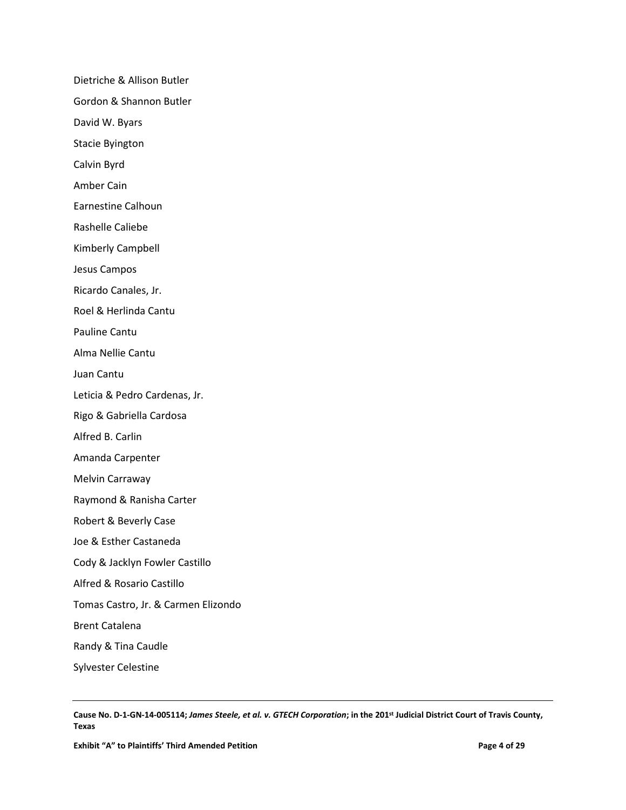Dietriche & Allison Butler Gordon & Shannon Butler David W. Byars Stacie Byington Calvin Byrd Amber Cain Earnestine Calhoun Rashelle Caliebe Kimberly Campbell Jesus Campos Ricardo Canales, Jr. Roel & Herlinda Cantu Pauline Cantu Alma Nellie Cantu Juan Cantu Leticia & Pedro Cardenas, Jr. Rigo & Gabriella Cardosa Alfred B. Carlin Amanda Carpenter Melvin Carraway Raymond & Ranisha Carter Robert & Beverly Case Joe & Esther Castaneda Cody & Jacklyn Fowler Castillo Alfred & Rosario Castillo Tomas Castro, Jr. & Carmen Elizondo Brent Catalena Randy & Tina Caudle Sylvester Celestine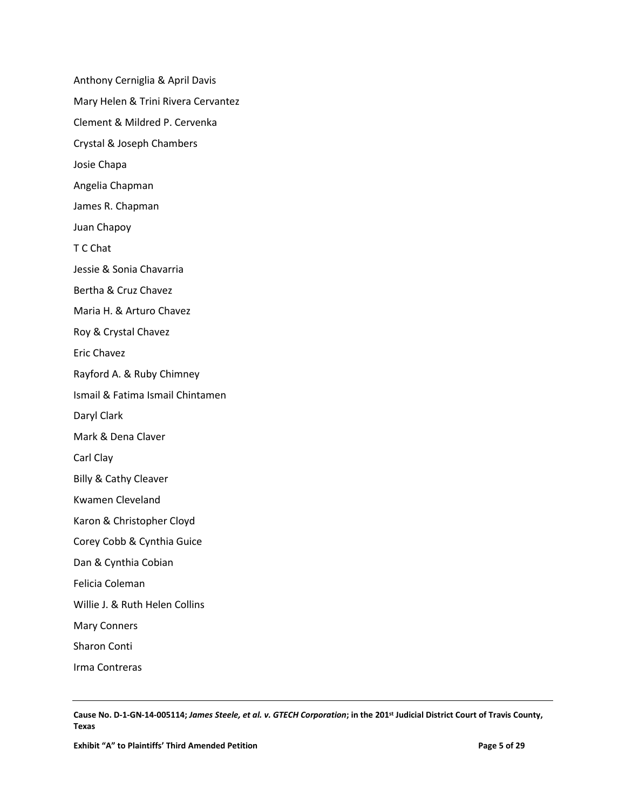Anthony Cerniglia & April Davis Mary Helen & Trini Rivera Cervantez Clement & Mildred P. Cervenka Crystal & Joseph Chambers Josie Chapa Angelia Chapman James R. Chapman Juan Chapoy T C Chat Jessie & Sonia Chavarria Bertha & Cruz Chavez Maria H. & Arturo Chavez Roy & Crystal Chavez Eric Chavez Rayford A. & Ruby Chimney Ismail & Fatima Ismail Chintamen Daryl Clark Mark & Dena Claver Carl Clay Billy & Cathy Cleaver Kwamen Cleveland Karon & Christopher Cloyd Corey Cobb & Cynthia Guice Dan & Cynthia Cobian Felicia Coleman Willie J. & Ruth Helen Collins Mary Conners Sharon Conti

Irma Contreras

**Cause No. D-1-GN-14-005114;** *James Steele, et al. v. GTECH Corporation***; in the 201st Judicial District Court of Travis County, Texas**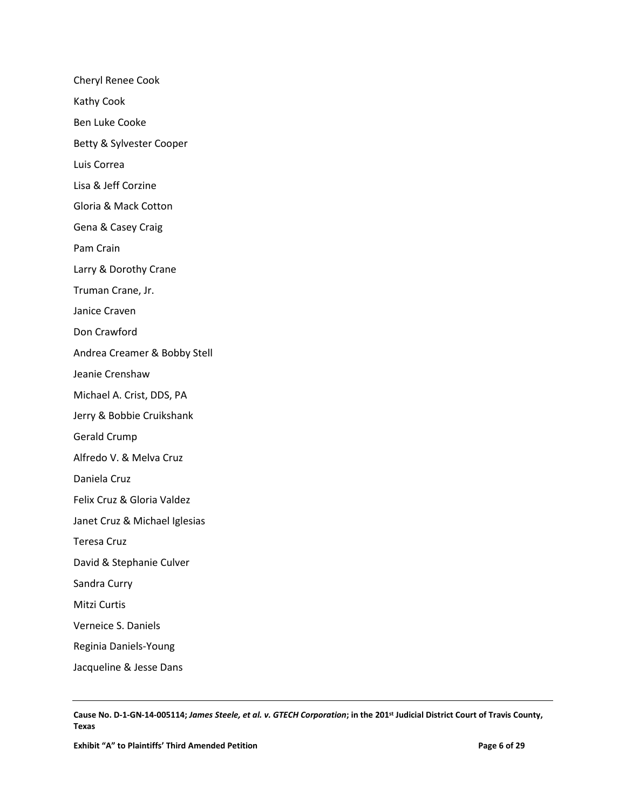Cheryl Renee Cook Kathy Cook Ben Luke Cooke Betty & Sylvester Cooper Luis Correa Lisa & Jeff Corzine Gloria & Mack Cotton Gena & Casey Craig Pam Crain Larry & Dorothy Crane Truman Crane, Jr. Janice Craven Don Crawford Andrea Creamer & Bobby Stell Jeanie Crenshaw Michael A. Crist, DDS, PA Jerry & Bobbie Cruikshank Gerald Crump Alfredo V. & Melva Cruz Daniela Cruz Felix Cruz & Gloria Valdez Janet Cruz & Michael Iglesias Teresa Cruz David & Stephanie Culver Sandra Curry Mitzi Curtis Verneice S. Daniels Reginia Daniels-Young Jacqueline & Jesse Dans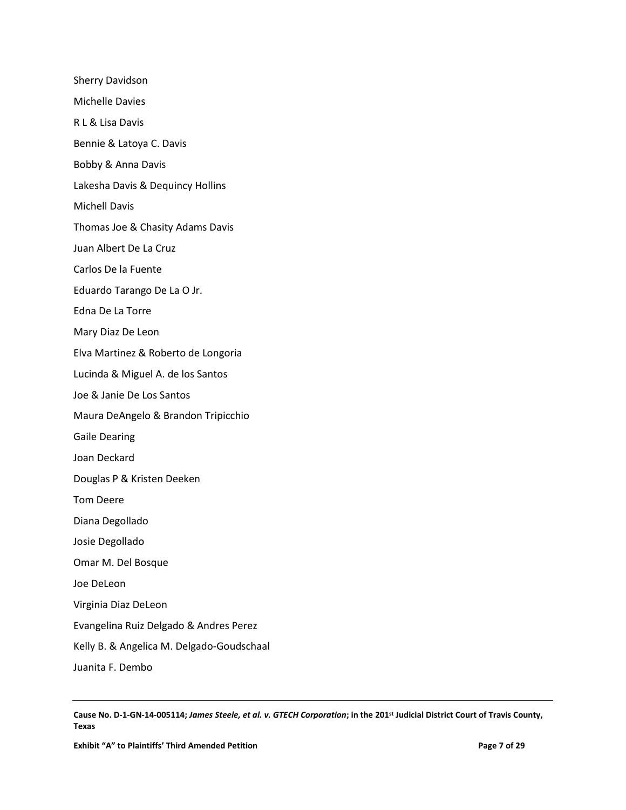Sherry Davidson Michelle Davies R L & Lisa Davis Bennie & Latoya C. Davis Bobby & Anna Davis Lakesha Davis & Dequincy Hollins Michell Davis Thomas Joe & Chasity Adams Davis Juan Albert De La Cruz Carlos De la Fuente Eduardo Tarango De La O Jr. Edna De La Torre Mary Diaz De Leon Elva Martinez & Roberto de Longoria Lucinda & Miguel A. de los Santos Joe & Janie De Los Santos Maura DeAngelo & Brandon Tripicchio Gaile Dearing Joan Deckard Douglas P & Kristen Deeken Tom Deere Diana Degollado Josie Degollado Omar M. Del Bosque Joe DeLeon Virginia Diaz DeLeon Evangelina Ruiz Delgado & Andres Perez Kelly B. & Angelica M. Delgado-Goudschaal Juanita F. Dembo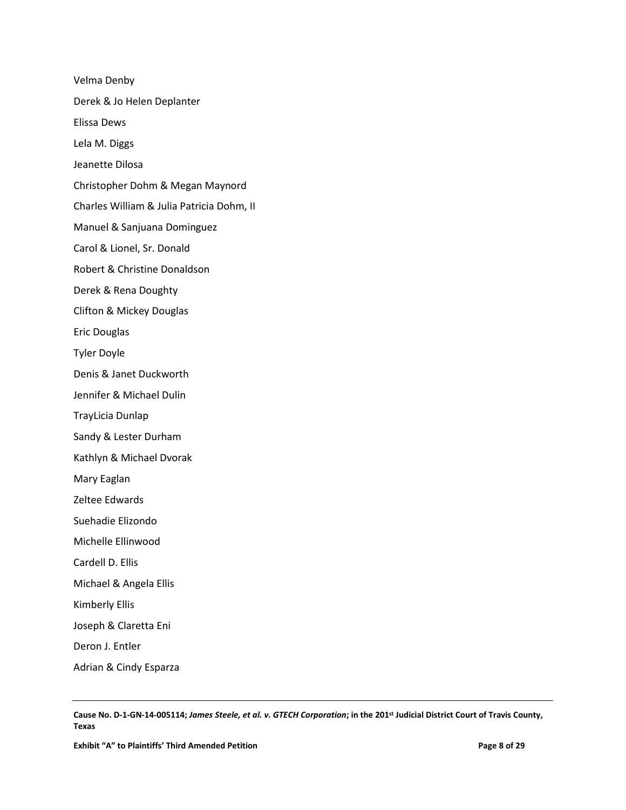Velma Denby Derek & Jo Helen Deplanter Elissa Dews Lela M. Diggs Jeanette Dilosa Christopher Dohm & Megan Maynord Charles William & Julia Patricia Dohm, II Manuel & Sanjuana Dominguez Carol & Lionel, Sr. Donald Robert & Christine Donaldson Derek & Rena Doughty Clifton & Mickey Douglas Eric Douglas Tyler Doyle Denis & Janet Duckworth Jennifer & Michael Dulin TrayLicia Dunlap Sandy & Lester Durham Kathlyn & Michael Dvorak Mary Eaglan Zeltee Edwards Suehadie Elizondo Michelle Ellinwood Cardell D. Ellis Michael & Angela Ellis Kimberly Ellis Joseph & Claretta Eni Deron J. Entler Adrian & Cindy Esparza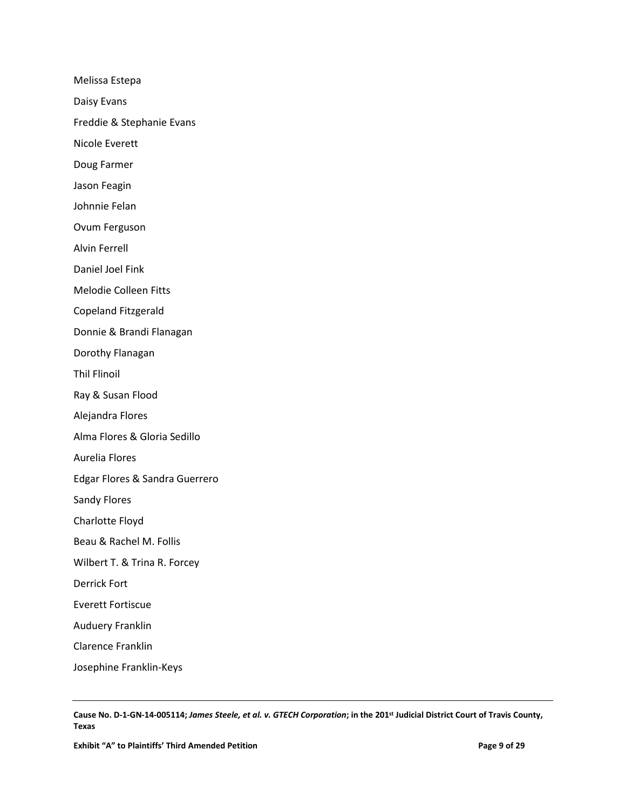Melissa Estepa Daisy Evans Freddie & Stephanie Evans Nicole Everett Doug Farmer Jason Feagin Johnnie Felan Ovum Ferguson Alvin Ferrell Daniel Joel Fink Melodie Colleen Fitts Copeland Fitzgerald Donnie & Brandi Flanagan Dorothy Flanagan Thil Flinoil Ray & Susan Flood Alejandra Flores Alma Flores & Gloria Sedillo Aurelia Flores Edgar Flores & Sandra Guerrero Sandy Flores Charlotte Floyd Beau & Rachel M. Follis Wilbert T. & Trina R. Forcey Derrick Fort Everett Fortiscue Auduery Franklin Clarence Franklin Josephine Franklin-Keys

**Cause No. D-1-GN-14-005114;** *James Steele, et al. v. GTECH Corporation***; in the 201st Judicial District Court of Travis County, Texas**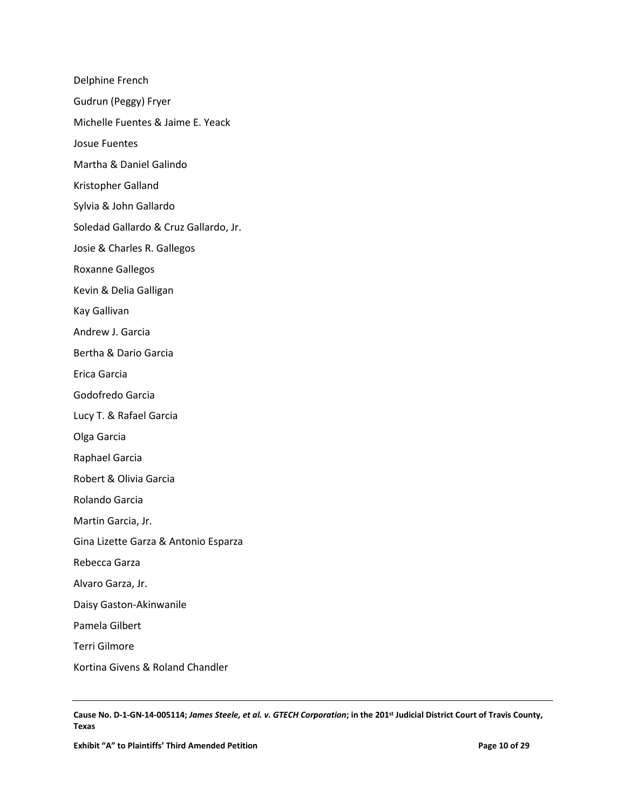Delphine French Gudrun (Peggy) Fryer Michelle Fuentes & Jaime E. Yeack Josue Fuentes Martha & Daniel Galindo Kristopher Galland Sylvia & John Gallardo Soledad Gallardo & Cruz Gallardo, Jr. Josie & Charles R. Gallegos Roxanne Gallegos Kevin & Delia Galligan Kay Gallivan Andrew J. Garcia Bertha & Dario Garcia Erica Garcia Godofredo Garcia Lucy T. & Rafael Garcia Olga Garcia Raphael Garcia Robert & Olivia Garcia Rolando Garcia Martin Garcia, Jr. Gina Lizette Garza & Antonio Esparza Rebecca Garza Alvaro Garza, Jr. Daisy Gaston-Akinwanile Pamela Gilbert Terri Gilmore Kortina Givens & Roland Chandler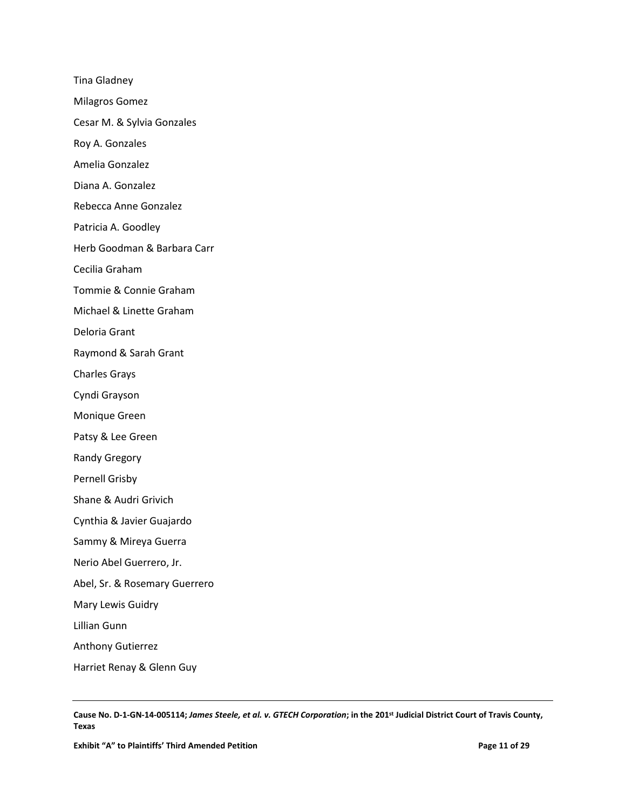Tina Gladney Milagros Gomez Cesar M. & Sylvia Gonzales Roy A. Gonzales Amelia Gonzalez Diana A. Gonzalez Rebecca Anne Gonzalez Patricia A. Goodley Herb Goodman & Barbara Carr Cecilia Graham Tommie & Connie Graham Michael & Linette Graham Deloria Grant Raymond & Sarah Grant Charles Grays Cyndi Grayson Monique Green Patsy & Lee Green Randy Gregory Pernell Grisby Shane & Audri Grivich Cynthia & Javier Guajardo Sammy & Mireya Guerra Nerio Abel Guerrero, Jr. Abel, Sr. & Rosemary Guerrero Mary Lewis Guidry Lillian Gunn Anthony Gutierrez Harriet Renay & Glenn Guy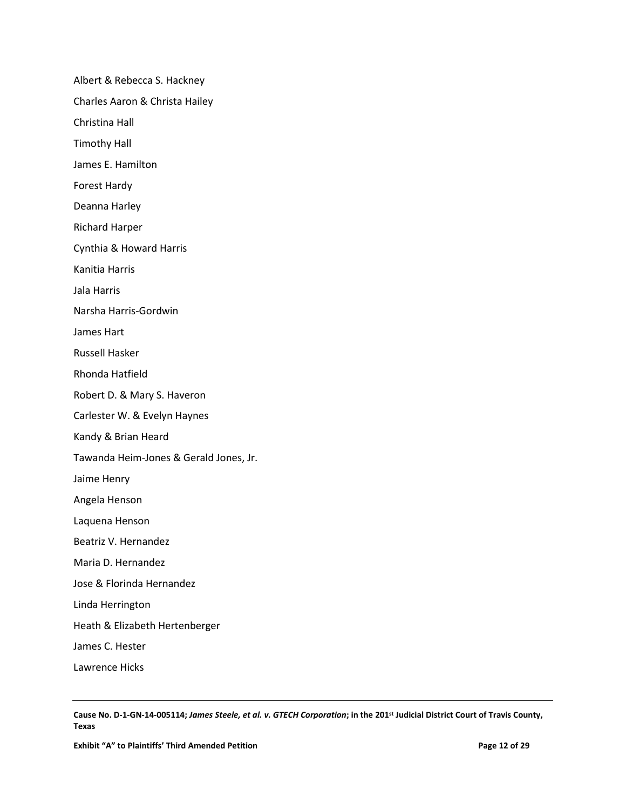Albert & Rebecca S. Hackney Charles Aaron & Christa Hailey Christina Hall Timothy Hall James E. Hamilton Forest Hardy Deanna Harley Richard Harper Cynthia & Howard Harris Kanitia Harris Jala Harris Narsha Harris-Gordwin James Hart Russell Hasker Rhonda Hatfield Robert D. & Mary S. Haveron Carlester W. & Evelyn Haynes Kandy & Brian Heard Tawanda Heim-Jones & Gerald Jones, Jr. Jaime Henry Angela Henson Laquena Henson Beatriz V. Hernandez Maria D. Hernandez Jose & Florinda Hernandez Linda Herrington Heath & Elizabeth Hertenberger James C. Hester Lawrence Hicks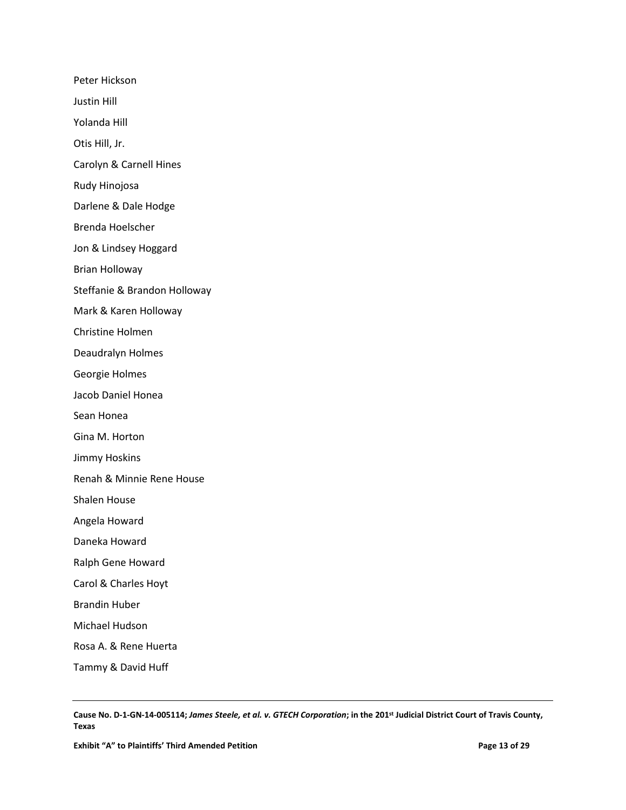Peter Hickson Justin Hill Yolanda Hill Otis Hill, Jr. Carolyn & Carnell Hines Rudy Hinojosa Darlene & Dale Hodge Brenda Hoelscher Jon & Lindsey Hoggard Brian Holloway Steffanie & Brandon Holloway Mark & Karen Holloway Christine Holmen Deaudralyn Holmes Georgie Holmes Jacob Daniel Honea Sean Honea Gina M. Horton Jimmy Hoskins Renah & Minnie Rene House Shalen House Angela Howard Daneka Howard Ralph Gene Howard Carol & Charles Hoyt Brandin Huber Michael Hudson Rosa A. & Rene Huerta Tammy & David Huff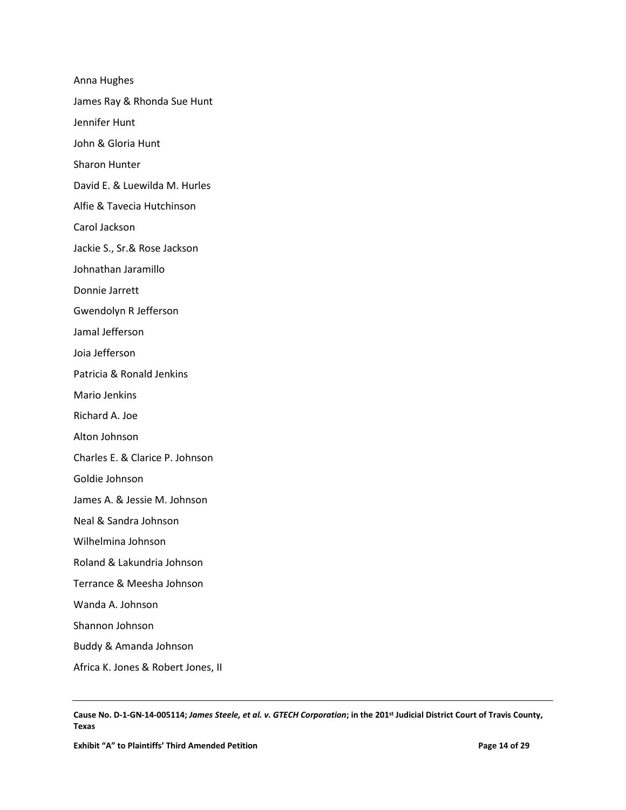Anna Hughes James Ray & Rhonda Sue Hunt Jennifer Hunt John & Gloria Hunt Sharon Hunter David E. & Luewilda M. Hurles Alfie & Tavecia Hutchinson Carol Jackson Jackie S., Sr.& Rose Jackson Johnathan Jaramillo Donnie Jarrett Gwendolyn R Jefferson Jamal Jefferson Joia Jefferson Patricia & Ronald Jenkins Mario Jenkins Richard A. Joe Alton Johnson Charles E. & Clarice P. Johnson Goldie Johnson James A. & Jessie M. Johnson Neal & Sandra Johnson Wilhelmina Johnson Roland & Lakundria Johnson Terrance & Meesha Johnson Wanda A. Johnson Shannon Johnson Buddy & Amanda Johnson Africa K. Jones & Robert Jones, II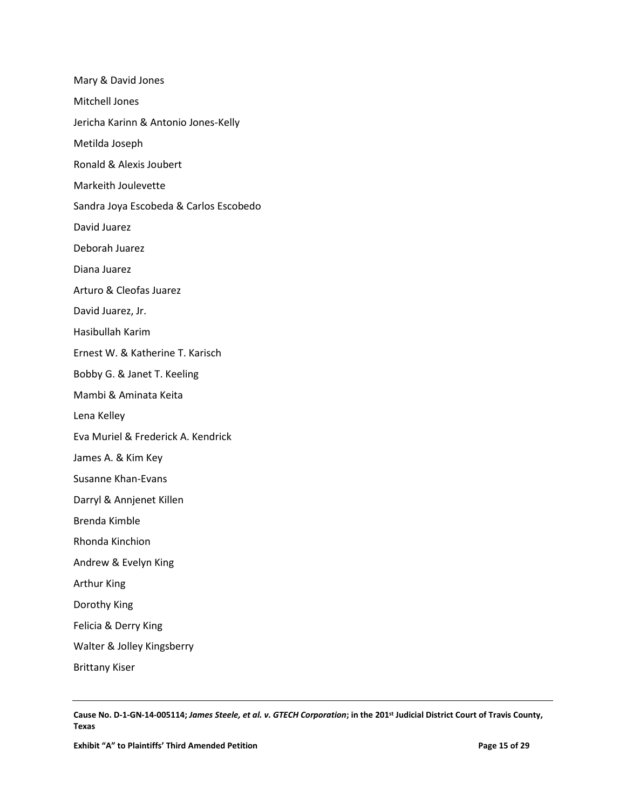Mary & David Jones Mitchell Jones Jericha Karinn & Antonio Jones-Kelly Metilda Joseph Ronald & Alexis Joubert Markeith Joulevette Sandra Joya Escobeda & Carlos Escobedo David Juarez Deborah Juarez Diana Juarez Arturo & Cleofas Juarez David Juarez, Jr. Hasibullah Karim Ernest W. & Katherine T. Karisch Bobby G. & Janet T. Keeling Mambi & Aminata Keita Lena Kelley Eva Muriel & Frederick A. Kendrick James A. & Kim Key Susanne Khan-Evans Darryl & Annjenet Killen Brenda Kimble Rhonda Kinchion Andrew & Evelyn King Arthur King Dorothy King Felicia & Derry King Walter & Jolley Kingsberry Brittany Kiser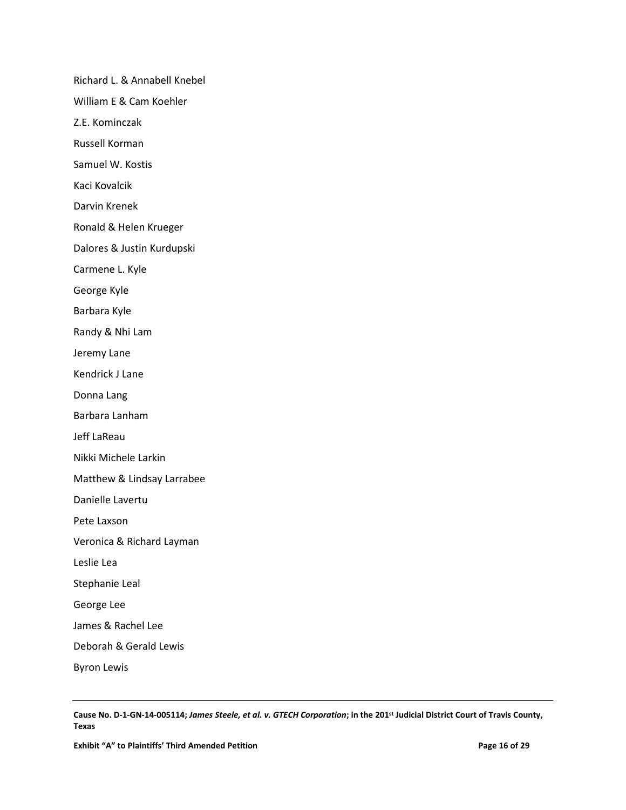Richard L. & Annabell Knebel William E & Cam Koehler Z.E. Kominczak Russell Korman Samuel W. Kostis Kaci Kovalcik Darvin Krenek Ronald & Helen Krueger Dalores & Justin Kurdupski Carmene L. Kyle George Kyle Barbara Kyle Randy & Nhi Lam Jeremy Lane Kendrick J Lane Donna Lang Barbara Lanham Jeff LaReau Nikki Michele Larkin Matthew & Lindsay Larrabee Danielle Lavertu Pete Laxson Veronica & Richard Layman Leslie Lea Stephanie Leal George Lee James & Rachel Lee Deborah & Gerald Lewis Byron Lewis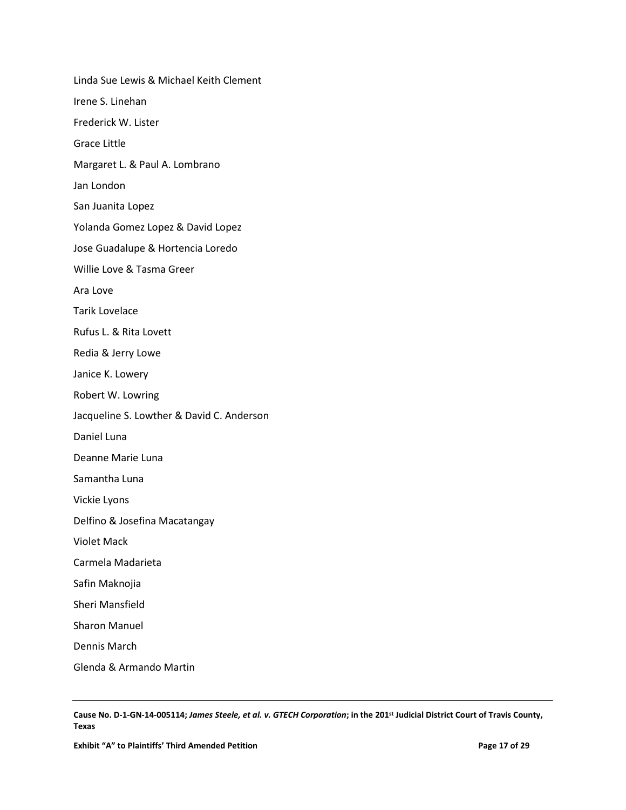Linda Sue Lewis & Michael Keith Clement Irene S. Linehan Frederick W. Lister Grace Little Margaret L. & Paul A. Lombrano Jan London San Juanita Lopez Yolanda Gomez Lopez & David Lopez Jose Guadalupe & Hortencia Loredo Willie Love & Tasma Greer Ara Love Tarik Lovelace Rufus L. & Rita Lovett Redia & Jerry Lowe Janice K. Lowery Robert W. Lowring Jacqueline S. Lowther & David C. Anderson Daniel Luna Deanne Marie Luna Samantha Luna Vickie Lyons Delfino & Josefina Macatangay Violet Mack Carmela Madarieta Safin Maknojia Sheri Mansfield Sharon Manuel Dennis March Glenda & Armando Martin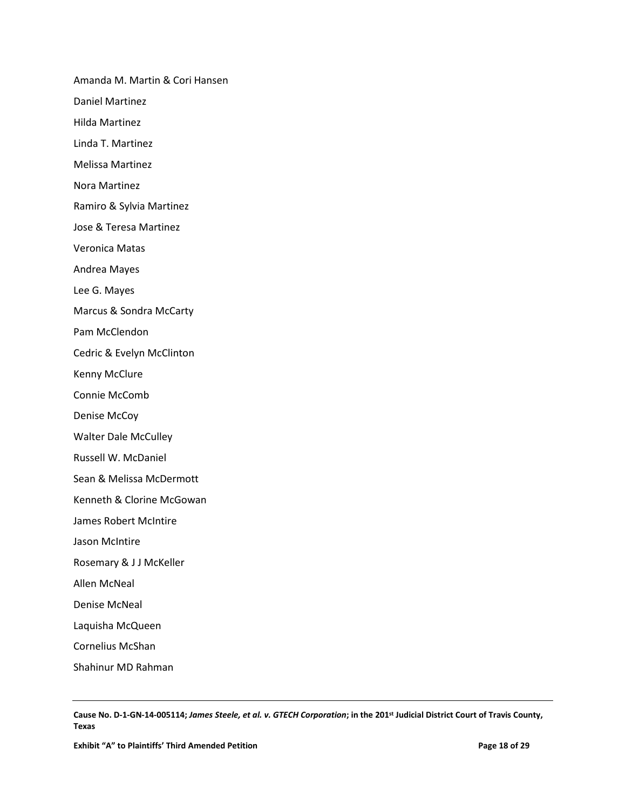Amanda M. Martin & Cori Hansen

Daniel Martinez

Hilda Martinez

Linda T. Martinez

Melissa Martinez

Nora Martinez

Ramiro & Sylvia Martinez

Jose & Teresa Martinez

Veronica Matas

Andrea Mayes

Lee G. Mayes

Marcus & Sondra McCarty

Pam McClendon

Cedric & Evelyn McClinton

Kenny McClure

Connie McComb

Denise McCoy

Walter Dale McCulley

Russell W. McDaniel

Sean & Melissa McDermott

Kenneth & Clorine McGowan

James Robert McIntire

Jason McIntire

Rosemary & J J McKeller

Allen McNeal

Denise McNeal

Laquisha McQueen

Cornelius McShan

Shahinur MD Rahman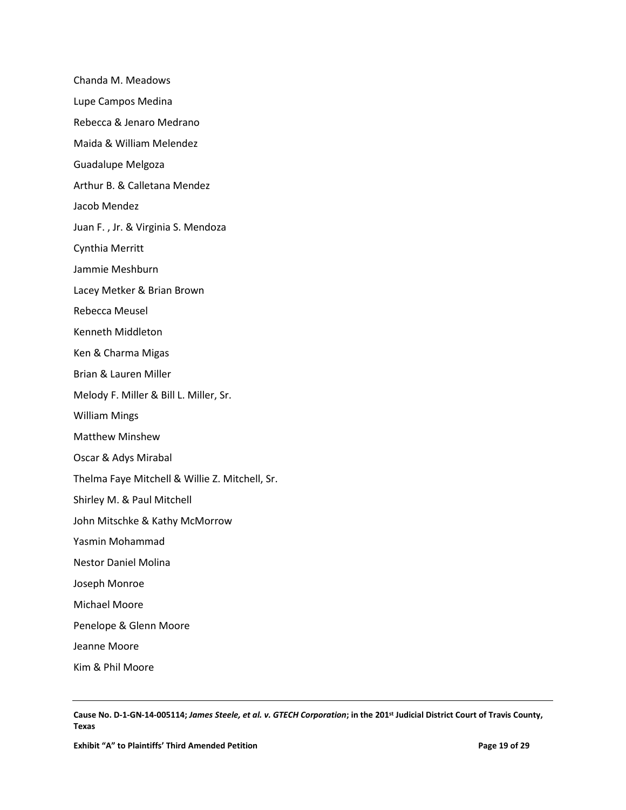Chanda M. Meadows Lupe Campos Medina Rebecca & Jenaro Medrano Maida & William Melendez Guadalupe Melgoza Arthur B. & Calletana Mendez Jacob Mendez Juan F. , Jr. & Virginia S. Mendoza Cynthia Merritt Jammie Meshburn Lacey Metker & Brian Brown Rebecca Meusel Kenneth Middleton Ken & Charma Migas Brian & Lauren Miller Melody F. Miller & Bill L. Miller, Sr. William Mings Matthew Minshew Oscar & Adys Mirabal Thelma Faye Mitchell & Willie Z. Mitchell, Sr. Shirley M. & Paul Mitchell John Mitschke & Kathy McMorrow Yasmin Mohammad Nestor Daniel Molina Joseph Monroe Michael Moore Penelope & Glenn Moore Jeanne Moore Kim & Phil Moore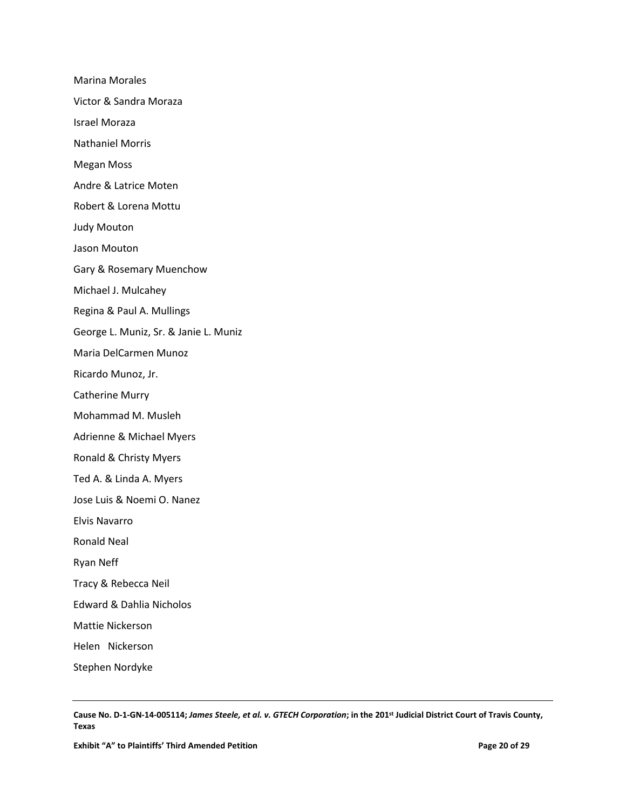Marina Morales Victor & Sandra Moraza Israel Moraza Nathaniel Morris Megan Moss Andre & Latrice Moten Robert & Lorena Mottu Judy Mouton Jason Mouton Gary & Rosemary Muenchow Michael J. Mulcahey Regina & Paul A. Mullings George L. Muniz, Sr. & Janie L. Muniz Maria DelCarmen Munoz Ricardo Munoz, Jr. Catherine Murry Mohammad M. Musleh Adrienne & Michael Myers Ronald & Christy Myers Ted A. & Linda A. Myers Jose Luis & Noemi O. Nanez Elvis Navarro Ronald Neal Ryan Neff Tracy & Rebecca Neil Edward & Dahlia Nicholos Mattie Nickerson Helen Nickerson Stephen Nordyke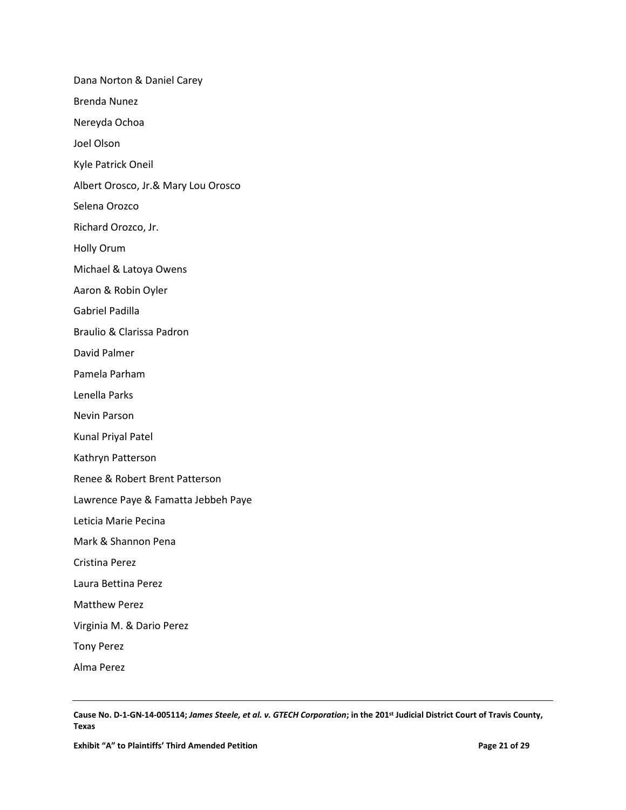Dana Norton & Daniel Carey Brenda Nunez Nereyda Ochoa Joel Olson Kyle Patrick Oneil Albert Orosco, Jr.& Mary Lou Orosco Selena Orozco Richard Orozco, Jr. Holly Orum Michael & Latoya Owens Aaron & Robin Oyler Gabriel Padilla Braulio & Clarissa Padron David Palmer Pamela Parham Lenella Parks Nevin Parson Kunal Priyal Patel Kathryn Patterson Renee & Robert Brent Patterson Lawrence Paye & Famatta Jebbeh Paye Leticia Marie Pecina Mark & Shannon Pena Cristina Perez Laura Bettina Perez Matthew Perez Virginia M. & Dario Perez Tony Perez Alma Perez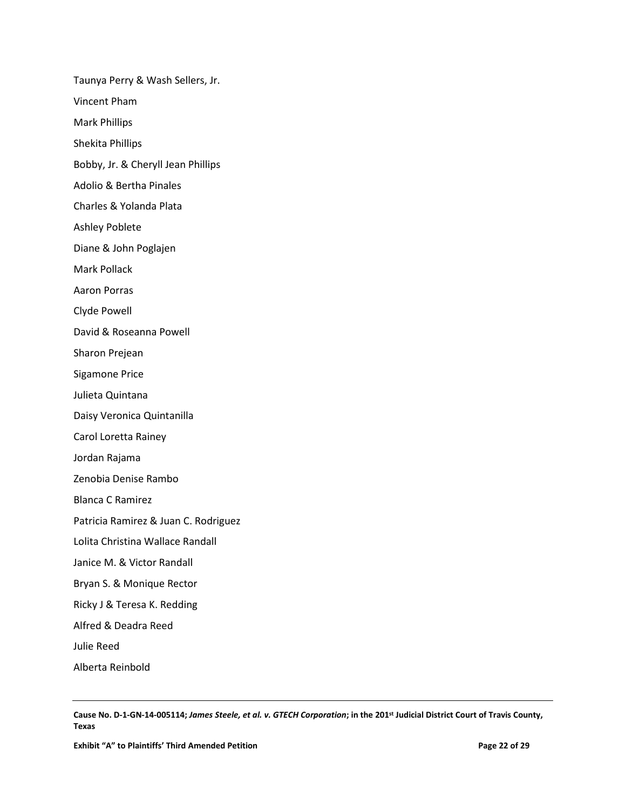Taunya Perry & Wash Sellers, Jr. Vincent Pham Mark Phillips Shekita Phillips Bobby, Jr. & Cheryll Jean Phillips Adolio & Bertha Pinales Charles & Yolanda Plata Ashley Poblete Diane & John Poglajen Mark Pollack Aaron Porras Clyde Powell David & Roseanna Powell Sharon Prejean Sigamone Price Julieta Quintana Daisy Veronica Quintanilla Carol Loretta Rainey Jordan Rajama Zenobia Denise Rambo Blanca C Ramirez Patricia Ramirez & Juan C. Rodriguez Lolita Christina Wallace Randall Janice M. & Victor Randall Bryan S. & Monique Rector Ricky J & Teresa K. Redding Alfred & Deadra Reed Julie Reed

Alberta Reinbold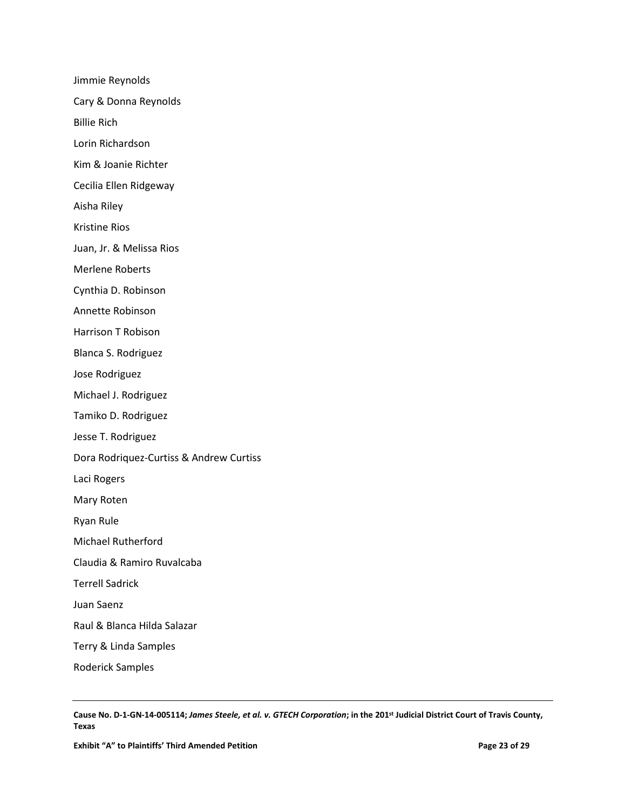Jimmie Reynolds Cary & Donna Reynolds Billie Rich Lorin Richardson Kim & Joanie Richter Cecilia Ellen Ridgeway Aisha Riley Kristine Rios Juan, Jr. & Melissa Rios Merlene Roberts Cynthia D. Robinson Annette Robinson Harrison T Robison Blanca S. Rodriguez Jose Rodriguez Michael J. Rodriguez Tamiko D. Rodriguez Jesse T. Rodriguez Dora Rodriquez-Curtiss & Andrew Curtiss Laci Rogers Mary Roten Ryan Rule Michael Rutherford Claudia & Ramiro Ruvalcaba Terrell Sadrick Juan Saenz Raul & Blanca Hilda Salazar Terry & Linda Samples

**Cause No. D-1-GN-14-005114;** *James Steele, et al. v. GTECH Corporation***; in the 201st Judicial District Court of Travis County, Texas**

Roderick Samples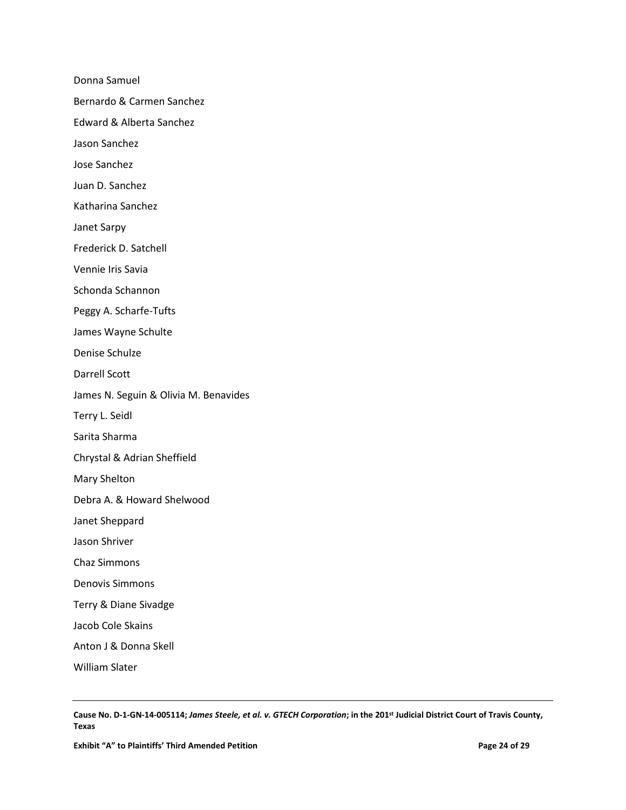Donna Samuel

Bernardo & Carmen Sanchez

Edward & Alberta Sanchez

Jason Sanchez

Jose Sanchez

Juan D. Sanchez

Katharina Sanchez

Janet Sarpy

Frederick D. Satchell

Vennie Iris Savia

Schonda Schannon

Peggy A. Scharfe-Tufts

James Wayne Schulte

Denise Schulze

Darrell Scott

James N. Seguin & Olivia M. Benavides

Terry L. Seidl

Sarita Sharma

Chrystal & Adrian Sheffield

Mary Shelton

Debra A. & Howard Shelwood

Janet Sheppard

Jason Shriver

Chaz Simmons

Denovis Simmons

Terry & Diane Sivadge

Jacob Cole Skains

Anton J & Donna Skell

William Slater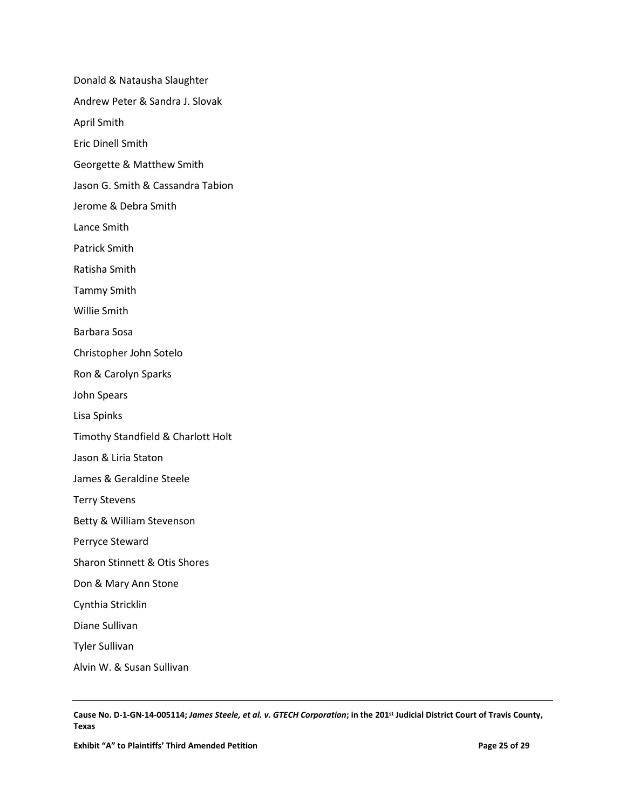Donald & Natausha Slaughter Andrew Peter & Sandra J. Slovak April Smith Eric Dinell Smith Georgette & Matthew Smith Jason G. Smith & Cassandra Tabion Jerome & Debra Smith Lance Smith Patrick Smith Ratisha Smith Tammy Smith Willie Smith Barbara Sosa Christopher John Sotelo Ron & Carolyn Sparks John Spears Lisa Spinks Timothy Standfield & Charlott Holt Jason & Liria Staton James & Geraldine Steele Terry Stevens Betty & William Stevenson Perryce Steward Sharon Stinnett & Otis Shores Don & Mary Ann Stone Cynthia Stricklin Diane Sullivan Tyler Sullivan

Alvin W. & Susan Sullivan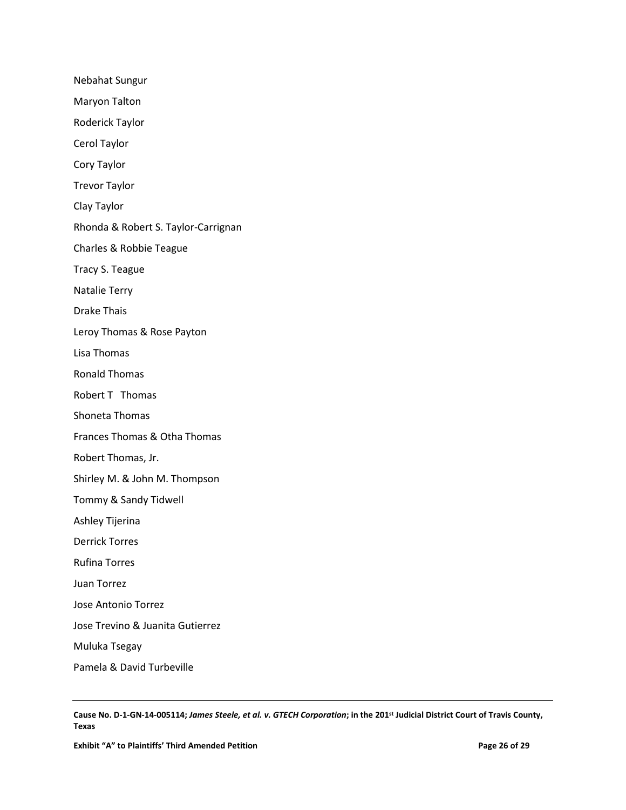Nebahat Sungur Maryon Talton Roderick Taylor Cerol Taylor Cory Taylor Trevor Taylor Clay Taylor Rhonda & Robert S. Taylor-Carrignan Charles & Robbie Teague Tracy S. Teague Natalie Terry Drake Thais Leroy Thomas & Rose Payton Lisa Thomas Ronald Thomas Robert T Thomas Shoneta Thomas Frances Thomas & Otha Thomas Robert Thomas, Jr. Shirley M. & John M. Thompson Tommy & Sandy Tidwell Ashley Tijerina Derrick Torres Rufina Torres Juan Torrez Jose Antonio Torrez Jose Trevino & Juanita Gutierrez Muluka Tsegay Pamela & David Turbeville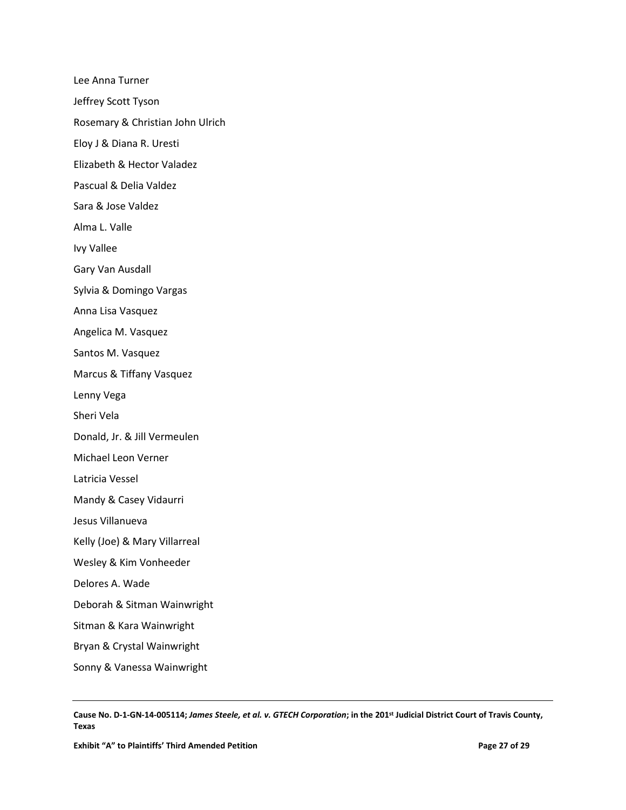Lee Anna Turner Jeffrey Scott Tyson Rosemary & Christian John Ulrich Eloy J & Diana R. Uresti Elizabeth & Hector Valadez Pascual & Delia Valdez Sara & Jose Valdez Alma L. Valle Ivy Vallee Gary Van Ausdall Sylvia & Domingo Vargas Anna Lisa Vasquez Angelica M. Vasquez Santos M. Vasquez Marcus & Tiffany Vasquez Lenny Vega Sheri Vela Donald, Jr. & Jill Vermeulen Michael Leon Verner Latricia Vessel Mandy & Casey Vidaurri Jesus Villanueva Kelly (Joe) & Mary Villarreal Wesley & Kim Vonheeder Delores A. Wade Deborah & Sitman Wainwright Sitman & Kara Wainwright Bryan & Crystal Wainwright Sonny & Vanessa Wainwright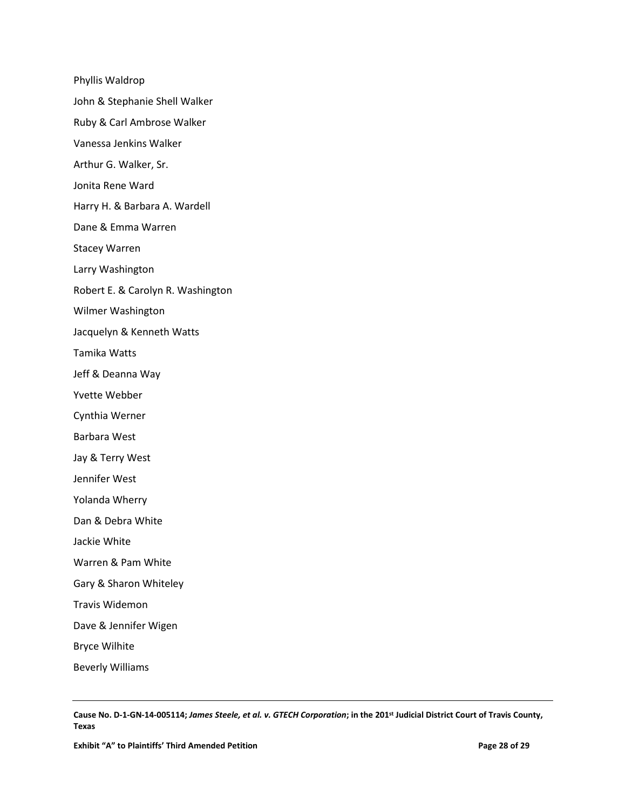Phyllis Waldrop John & Stephanie Shell Walker Ruby & Carl Ambrose Walker Vanessa Jenkins Walker Arthur G. Walker, Sr. Jonita Rene Ward Harry H. & Barbara A. Wardell Dane & Emma Warren Stacey Warren Larry Washington Robert E. & Carolyn R. Washington Wilmer Washington Jacquelyn & Kenneth Watts Tamika Watts Jeff & Deanna Way Yvette Webber Cynthia Werner Barbara West Jay & Terry West Jennifer West Yolanda Wherry Dan & Debra White Jackie White Warren & Pam White Gary & Sharon Whiteley Travis Widemon Dave & Jennifer Wigen Bryce Wilhite Beverly Williams